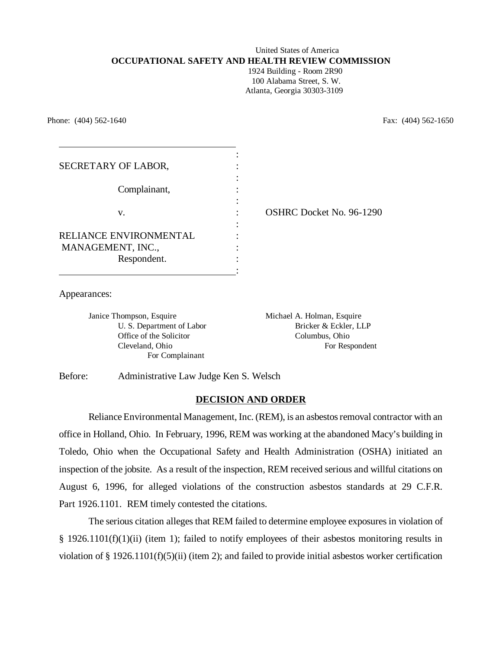# United States of America **OCCUPATIONAL SAFETY AND HEALTH REVIEW COMMISSION**

 1924 Building - Room 2R90 100 Alabama Street, S. W. Atlanta, Georgia 30303-3109

Phone: (404) 562-1640 Fax: (404) 562-1650

| SECRETARY OF LABOR,                                        |                                 |
|------------------------------------------------------------|---------------------------------|
| Complainant,                                               |                                 |
| V.                                                         | <b>OSHRC Docket No. 96-1290</b> |
| RELIANCE ENVIRONMENTAL<br>MANAGEMENT, INC.,<br>Respondent. |                                 |
|                                                            |                                 |

Appearances:

Janice Thompson, Esquire Michael A. Holman, Esquire Office of the Solicitor Columbus, Ohio For Complainant

U. S. Department of Labor Bricker & Eckler, LLP Cleveland, Ohio For Respondent

Before: Administrative Law Judge Ken S. Welsch

## **DECISION AND ORDER**

Reliance Environmental Management, Inc. (REM), is an asbestos removal contractor with an office in Holland, Ohio. In February, 1996, REM was working at the abandoned Macy's building in Toledo, Ohio when the Occupational Safety and Health Administration (OSHA) initiated an inspection of the jobsite. As a result of the inspection, REM received serious and willful citations on August 6, 1996, for alleged violations of the construction asbestos standards at 29 C.F.R. Part 1926.1101. REM timely contested the citations.

The serious citation alleges that REM failed to determine employee exposures in violation of § 1926.1101(f)(1)(ii) (item 1); failed to notify employees of their asbestos monitoring results in violation of § 1926.1101(f)(5)(ii) (item 2); and failed to provide initial asbestos worker certification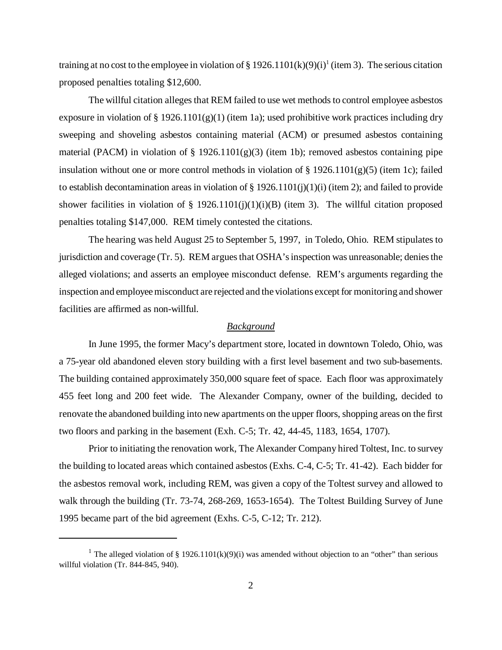training at no cost to the employee in violation of § 1926.1101(k)(9)(i)<sup>1</sup> (item 3). The serious citation proposed penalties totaling \$12,600.

The willful citation alleges that REM failed to use wet methods to control employee asbestos exposure in violation of § 1926.1101(g)(1) (item 1a); used prohibitive work practices including dry sweeping and shoveling asbestos containing material (ACM) or presumed asbestos containing material (PACM) in violation of  $\S$  1926.1101(g)(3) (item 1b); removed asbestos containing pipe insulation without one or more control methods in violation of  $\S 1926.1101(g)(5)$  (item 1c); failed to establish decontamination areas in violation of  $\S 1926.1101(j)(1)(i)$  (item 2); and failed to provide shower facilities in violation of § 1926.1101(j)(1)(i)(B) (item 3). The willful citation proposed penalties totaling \$147,000. REM timely contested the citations.

The hearing was held August 25 to September 5, 1997, in Toledo, Ohio. REM stipulates to jurisdiction and coverage (Tr. 5). REM argues that OSHA's inspection was unreasonable; denies the alleged violations; and asserts an employee misconduct defense. REM's arguments regarding the inspection and employee misconduct are rejected and the violations except for monitoring and shower facilities are affirmed as non-willful.

### *Background*

In June 1995, the former Macy's department store, located in downtown Toledo, Ohio, was a 75-year old abandoned eleven story building with a first level basement and two sub-basements. The building contained approximately 350,000 square feet of space. Each floor was approximately 455 feet long and 200 feet wide. The Alexander Company, owner of the building, decided to renovate the abandoned building into new apartments on the upper floors, shopping areas on the first two floors and parking in the basement (Exh. C-5; Tr. 42, 44-45, 1183, 1654, 1707).

Prior to initiating the renovation work, The Alexander Company hired Toltest, Inc. to survey the building to located areas which contained asbestos (Exhs. C-4, C-5; Tr. 41-42). Each bidder for the asbestos removal work, including REM, was given a copy of the Toltest survey and allowed to walk through the building (Tr. 73-74, 268-269, 1653-1654). The Toltest Building Survey of June 1995 became part of the bid agreement (Exhs. C-5, C-12; Tr. 212).

<sup>&</sup>lt;sup>1</sup> The alleged violation of § 1926.1101(k)(9)(i) was amended without objection to an "other" than serious willful violation (Tr. 844-845, 940).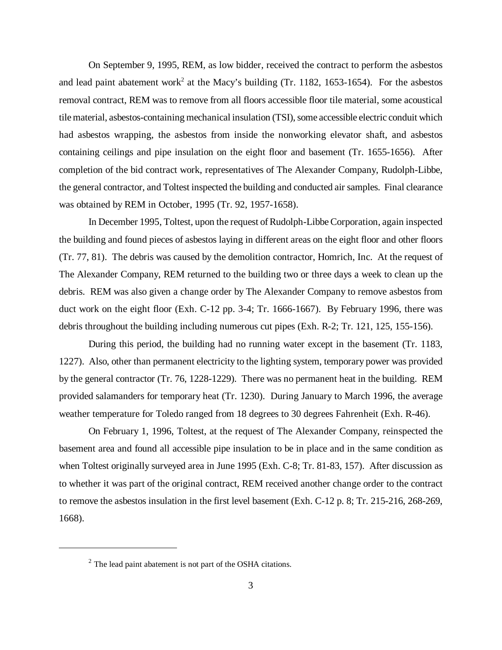On September 9, 1995, REM, as low bidder, received the contract to perform the asbestos and lead paint abatement work<sup>2</sup> at the Macy's building (Tr. 1182, 1653-1654). For the asbestos removal contract, REM was to remove from all floors accessible floor tile material, some acoustical tile material, asbestos-containing mechanical insulation (TSI), some accessible electric conduit which had asbestos wrapping, the asbestos from inside the nonworking elevator shaft, and asbestos containing ceilings and pipe insulation on the eight floor and basement (Tr. 1655-1656). After completion of the bid contract work, representatives of The Alexander Company, Rudolph-Libbe, the general contractor, and Toltest inspected the building and conducted air samples. Final clearance was obtained by REM in October, 1995 (Tr. 92, 1957-1658).

In December 1995, Toltest, upon the request of Rudolph-Libbe Corporation, again inspected the building and found pieces of asbestos laying in different areas on the eight floor and other floors (Tr. 77, 81). The debris was caused by the demolition contractor, Homrich, Inc. At the request of The Alexander Company, REM returned to the building two or three days a week to clean up the debris. REM was also given a change order by The Alexander Company to remove asbestos from duct work on the eight floor (Exh. C-12 pp. 3-4; Tr. 1666-1667). By February 1996, there was debris throughout the building including numerous cut pipes (Exh. R-2; Tr. 121, 125, 155-156).

During this period, the building had no running water except in the basement (Tr. 1183, 1227). Also, other than permanent electricity to the lighting system, temporary power was provided by the general contractor (Tr. 76, 1228-1229). There was no permanent heat in the building. REM provided salamanders for temporary heat (Tr. 1230). During January to March 1996, the average weather temperature for Toledo ranged from 18 degrees to 30 degrees Fahrenheit (Exh. R-46).

On February 1, 1996, Toltest, at the request of The Alexander Company, reinspected the basement area and found all accessible pipe insulation to be in place and in the same condition as when Toltest originally surveyed area in June 1995 (Exh. C-8; Tr. 81-83, 157). After discussion as to whether it was part of the original contract, REM received another change order to the contract to remove the asbestos insulation in the first level basement (Exh. C-12 p. 8; Tr. 215-216, 268-269, 1668).

 $2^2$  The lead paint abatement is not part of the OSHA citations.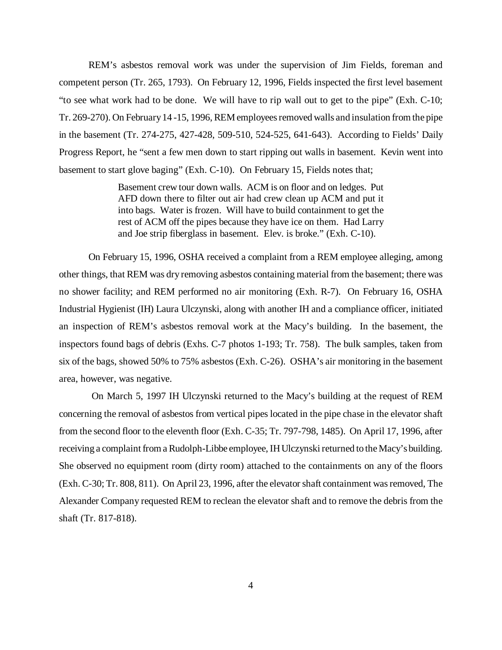REM's asbestos removal work was under the supervision of Jim Fields, foreman and competent person (Tr. 265, 1793). On February 12, 1996, Fields inspected the first level basement "to see what work had to be done. We will have to rip wall out to get to the pipe" (Exh. C-10; Tr. 269-270). On February 14 -15, 1996, REM employees removed walls and insulation from the pipe in the basement (Tr. 274-275, 427-428, 509-510, 524-525, 641-643). According to Fields' Daily Progress Report, he "sent a few men down to start ripping out walls in basement. Kevin went into basement to start glove baging" (Exh. C-10). On February 15, Fields notes that;

> Basement crew tour down walls. ACM is on floor and on ledges. Put AFD down there to filter out air had crew clean up ACM and put it into bags. Water is frozen. Will have to build containment to get the rest of ACM off the pipes because they have ice on them. Had Larry and Joe strip fiberglass in basement. Elev. is broke." (Exh. C-10).

On February 15, 1996, OSHA received a complaint from a REM employee alleging, among other things, that REM was dry removing asbestos containing material from the basement; there was no shower facility; and REM performed no air monitoring (Exh. R-7). On February 16, OSHA Industrial Hygienist (IH) Laura Ulczynski, along with another IH and a compliance officer, initiated an inspection of REM's asbestos removal work at the Macy's building. In the basement, the inspectors found bags of debris (Exhs. C-7 photos 1-193; Tr. 758). The bulk samples, taken from six of the bags, showed 50% to 75% asbestos (Exh. C-26). OSHA's air monitoring in the basement area, however, was negative.

 On March 5, 1997 IH Ulczynski returned to the Macy's building at the request of REM concerning the removal of asbestos from vertical pipes located in the pipe chase in the elevator shaft from the second floor to the eleventh floor (Exh. C-35; Tr. 797-798, 1485). On April 17, 1996, after receiving a complaint from a Rudolph-Libbe employee, IH Ulczynski returned to the Macy's building. She observed no equipment room (dirty room) attached to the containments on any of the floors (Exh. C-30; Tr. 808, 811). On April 23, 1996, after the elevator shaft containment was removed, The Alexander Company requested REM to reclean the elevator shaft and to remove the debris from the shaft (Tr. 817-818).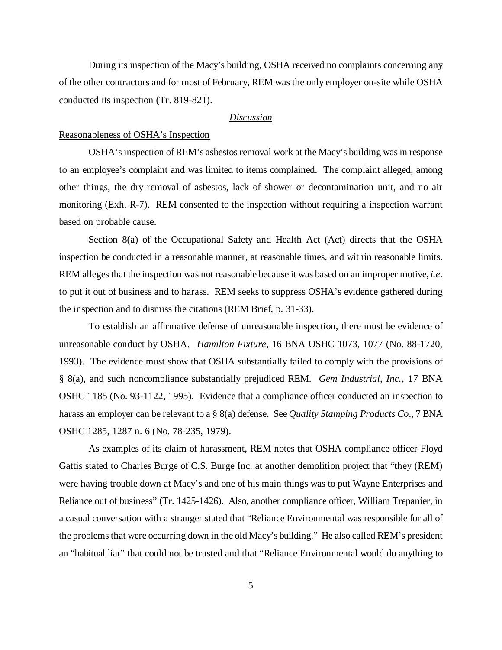During its inspection of the Macy's building, OSHA received no complaints concerning any of the other contractors and for most of February, REM was the only employer on-site while OSHA conducted its inspection (Tr. 819-821).

### *Discussion*

## Reasonableness of OSHA's Inspection

OSHA's inspection of REM's asbestos removal work at the Macy's building was in response to an employee's complaint and was limited to items complained. The complaint alleged, among other things, the dry removal of asbestos, lack of shower or decontamination unit, and no air monitoring (Exh. R-7). REM consented to the inspection without requiring a inspection warrant based on probable cause.

Section 8(a) of the Occupational Safety and Health Act (Act) directs that the OSHA inspection be conducted in a reasonable manner, at reasonable times, and within reasonable limits. REM alleges that the inspection was not reasonable because it was based on an improper motive, *i.e*. to put it out of business and to harass. REM seeks to suppress OSHA's evidence gathered during the inspection and to dismiss the citations (REM Brief, p. 31-33).

 To establish an affirmative defense of unreasonable inspection, there must be evidence of unreasonable conduct by OSHA. *Hamilton Fixture*, 16 BNA OSHC 1073, 1077 (No. 88-1720, 1993). The evidence must show that OSHA substantially failed to comply with the provisions of § 8(a), and such noncompliance substantially prejudiced REM. *Gem Industrial, Inc.*, 17 BNA OSHC 1185 (No. 93-1122, 1995). Evidence that a compliance officer conducted an inspection to harass an employer can be relevant to a § 8(a) defense. See *Quality Stamping Products Co*., 7 BNA OSHC 1285, 1287 n. 6 (No. 78-235, 1979).

As examples of its claim of harassment, REM notes that OSHA compliance officer Floyd Gattis stated to Charles Burge of C.S. Burge Inc. at another demolition project that "they (REM) were having trouble down at Macy's and one of his main things was to put Wayne Enterprises and Reliance out of business" (Tr. 1425-1426). Also, another compliance officer, William Trepanier, in a casual conversation with a stranger stated that "Reliance Environmental was responsible for all of the problems that were occurring down in the old Macy's building." He also called REM's president an "habitual liar" that could not be trusted and that "Reliance Environmental would do anything to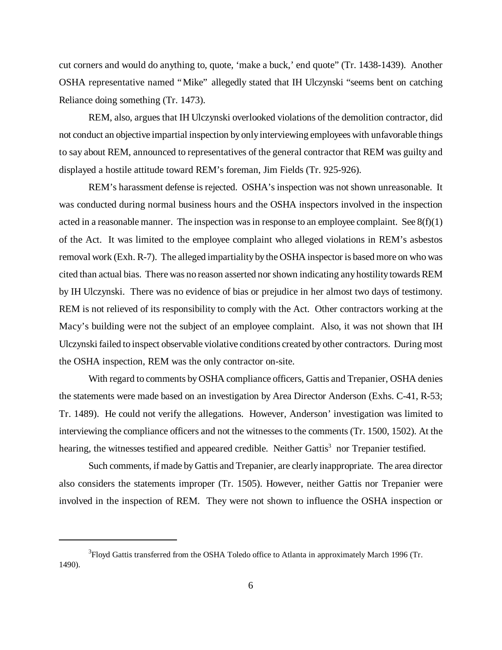cut corners and would do anything to, quote, 'make a buck,' end quote" (Tr. 1438-1439). Another OSHA representative named "Mike" allegedly stated that IH Ulczynski "seems bent on catching Reliance doing something (Tr. 1473).

REM, also, argues that IH Ulczynski overlooked violations of the demolition contractor, did not conduct an objective impartial inspection by only interviewing employees with unfavorable things to say about REM, announced to representatives of the general contractor that REM was guilty and displayed a hostile attitude toward REM's foreman, Jim Fields (Tr. 925-926).

REM's harassment defense is rejected. OSHA's inspection was not shown unreasonable. It was conducted during normal business hours and the OSHA inspectors involved in the inspection acted in a reasonable manner. The inspection was in response to an employee complaint. See  $8(f)(1)$ of the Act. It was limited to the employee complaint who alleged violations in REM's asbestos removal work (Exh. R-7). The alleged impartiality by the OSHA inspector is based more on who was cited than actual bias. There was no reason asserted nor shown indicating any hostility towards REM by IH Ulczynski. There was no evidence of bias or prejudice in her almost two days of testimony. REM is not relieved of its responsibility to comply with the Act. Other contractors working at the Macy's building were not the subject of an employee complaint. Also, it was not shown that IH Ulczynski failed to inspect observable violative conditions created by other contractors. During most the OSHA inspection, REM was the only contractor on-site.

With regard to comments by OSHA compliance officers, Gattis and Trepanier, OSHA denies the statements were made based on an investigation by Area Director Anderson (Exhs. C-41, R-53; Tr. 1489). He could not verify the allegations. However, Anderson' investigation was limited to interviewing the compliance officers and not the witnesses to the comments (Tr. 1500, 1502). At the hearing, the witnesses testified and appeared credible. Neither Gattis<sup>3</sup> nor Trepanier testified.

Such comments, if made by Gattis and Trepanier, are clearly inappropriate. The area director also considers the statements improper (Tr. 1505). However, neither Gattis nor Trepanier were involved in the inspection of REM. They were not shown to influence the OSHA inspection or

<sup>&</sup>lt;sup>3</sup> Floyd Gattis transferred from the OSHA Toledo office to Atlanta in approximately March 1996 (Tr. 1490).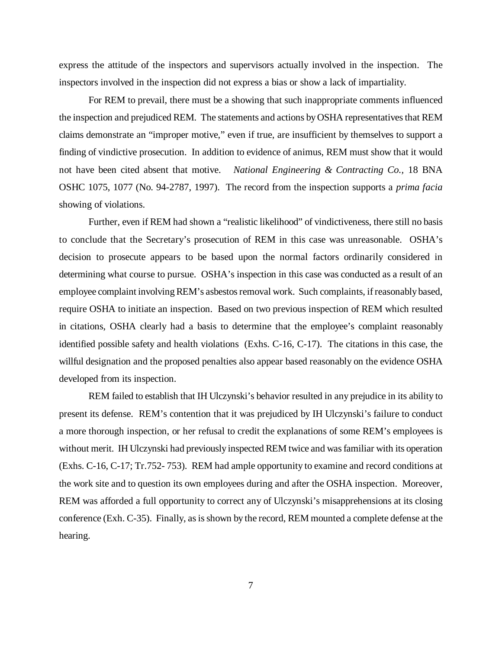express the attitude of the inspectors and supervisors actually involved in the inspection. The inspectors involved in the inspection did not express a bias or show a lack of impartiality.

For REM to prevail, there must be a showing that such inappropriate comments influenced the inspection and prejudiced REM. The statements and actions by OSHA representatives that REM claims demonstrate an "improper motive," even if true, are insufficient by themselves to support a finding of vindictive prosecution. In addition to evidence of animus, REM must show that it would not have been cited absent that motive. *National Engineering & Contracting Co.,* 18 BNA OSHC 1075, 1077 (No. 94-2787, 1997). The record from the inspection supports a *prima facia* showing of violations.

Further, even if REM had shown a "realistic likelihood" of vindictiveness, there still no basis to conclude that the Secretary's prosecution of REM in this case was unreasonable. OSHA's decision to prosecute appears to be based upon the normal factors ordinarily considered in determining what course to pursue. OSHA's inspection in this case was conducted as a result of an employee complaint involving REM's asbestos removal work. Such complaints, if reasonably based, require OSHA to initiate an inspection. Based on two previous inspection of REM which resulted in citations, OSHA clearly had a basis to determine that the employee's complaint reasonably identified possible safety and health violations (Exhs. C-16, C-17). The citations in this case, the willful designation and the proposed penalties also appear based reasonably on the evidence OSHA developed from its inspection.

REM failed to establish that IH Ulczynski's behavior resulted in any prejudice in its ability to present its defense. REM's contention that it was prejudiced by IH Ulczynski's failure to conduct a more thorough inspection, or her refusal to credit the explanations of some REM's employees is without merit. IH Ulczynski had previously inspected REM twice and was familiar with its operation (Exhs. C-16, C-17; Tr.752- 753). REM had ample opportunity to examine and record conditions at the work site and to question its own employees during and after the OSHA inspection. Moreover, REM was afforded a full opportunity to correct any of Ulczynski's misapprehensions at its closing conference (Exh. C-35). Finally, as is shown by the record, REM mounted a complete defense at the hearing.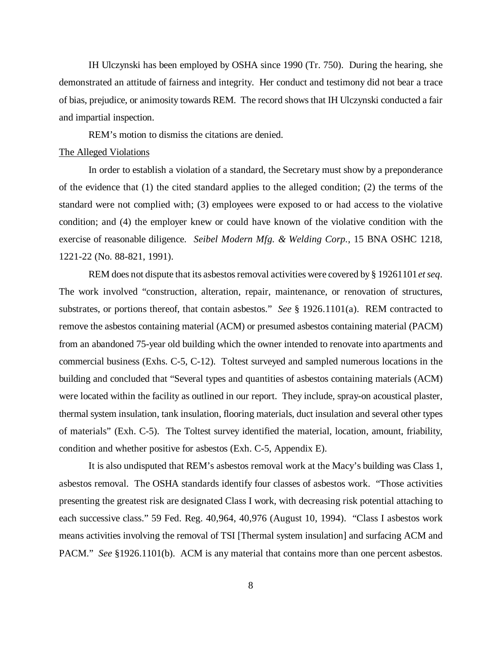IH Ulczynski has been employed by OSHA since 1990 (Tr. 750). During the hearing, she demonstrated an attitude of fairness and integrity. Her conduct and testimony did not bear a trace of bias, prejudice, or animosity towards REM. The record shows that IH Ulczynski conducted a fair and impartial inspection.

REM's motion to dismiss the citations are denied.

### The Alleged Violations

In order to establish a violation of a standard, the Secretary must show by a preponderance of the evidence that (1) the cited standard applies to the alleged condition; (2) the terms of the standard were not complied with; (3) employees were exposed to or had access to the violative condition; and (4) the employer knew or could have known of the violative condition with the exercise of reasonable diligence. *Seibel Modern Mfg. & Welding Corp.*, 15 BNA OSHC 1218, 1221-22 (No. 88-821, 1991).

REM does not dispute that its asbestos removal activities were covered by § 19261101 *et seq*. The work involved "construction, alteration, repair, maintenance, or renovation of structures, substrates, or portions thereof, that contain asbestos." *See* § 1926.1101(a). REM contracted to remove the asbestos containing material (ACM) or presumed asbestos containing material (PACM) from an abandoned 75-year old building which the owner intended to renovate into apartments and commercial business (Exhs. C-5, C-12). Toltest surveyed and sampled numerous locations in the building and concluded that "Several types and quantities of asbestos containing materials (ACM) were located within the facility as outlined in our report. They include, spray-on acoustical plaster, thermal system insulation, tank insulation, flooring materials, duct insulation and several other types of materials" (Exh. C-5). The Toltest survey identified the material, location, amount, friability, condition and whether positive for asbestos (Exh. C-5, Appendix E).

It is also undisputed that REM's asbestos removal work at the Macy's building was Class 1, asbestos removal. The OSHA standards identify four classes of asbestos work. "Those activities presenting the greatest risk are designated Class I work, with decreasing risk potential attaching to each successive class." 59 Fed. Reg. 40,964, 40,976 (August 10, 1994). "Class I asbestos work means activities involving the removal of TSI [Thermal system insulation] and surfacing ACM and PACM." *See* §1926.1101(b). ACM is any material that contains more than one percent asbestos.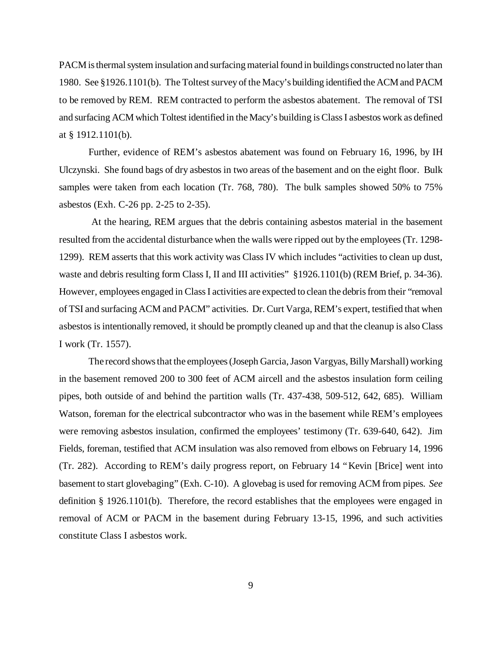PACM is thermal system insulation and surfacing material found in buildings constructed no later than 1980. See §1926.1101(b). The Toltest survey of the Macy's building identified the ACM and PACM to be removed by REM. REM contracted to perform the asbestos abatement. The removal of TSI and surfacing ACM which Toltest identified in the Macy's building is Class I asbestos work as defined at § 1912.1101(b).

Further, evidence of REM's asbestos abatement was found on February 16, 1996, by IH Ulczynski. She found bags of dry asbestos in two areas of the basement and on the eight floor. Bulk samples were taken from each location (Tr. 768, 780). The bulk samples showed 50% to 75% asbestos (Exh. C-26 pp. 2-25 to 2-35).

 At the hearing, REM argues that the debris containing asbestos material in the basement resulted from the accidental disturbance when the walls were ripped out by the employees (Tr. 1298- 1299). REM asserts that this work activity was Class IV which includes "activities to clean up dust, waste and debris resulting form Class I, II and III activities" §1926.1101(b) (REM Brief, p. 34-36). However, employees engaged in Class I activities are expected to clean the debris from their "removal of TSI and surfacing ACM and PACM" activities. Dr. Curt Varga, REM's expert, testified that when asbestos is intentionally removed, it should be promptly cleaned up and that the cleanup is also Class I work (Tr. 1557).

The record shows that the employees (Joseph Garcia, Jason Vargyas, Billy Marshall) working in the basement removed 200 to 300 feet of ACM aircell and the asbestos insulation form ceiling pipes, both outside of and behind the partition walls (Tr. 437-438, 509-512, 642, 685). William Watson, foreman for the electrical subcontractor who was in the basement while REM's employees were removing asbestos insulation, confirmed the employees' testimony (Tr. 639-640, 642). Jim Fields, foreman, testified that ACM insulation was also removed from elbows on February 14, 1996 (Tr. 282). According to REM's daily progress report, on February 14 "Kevin [Brice] went into basement to start glovebaging" (Exh. C-10). A glovebag is used for removing ACM from pipes. *See* definition § 1926.1101(b). Therefore, the record establishes that the employees were engaged in removal of ACM or PACM in the basement during February 13-15, 1996, and such activities constitute Class I asbestos work.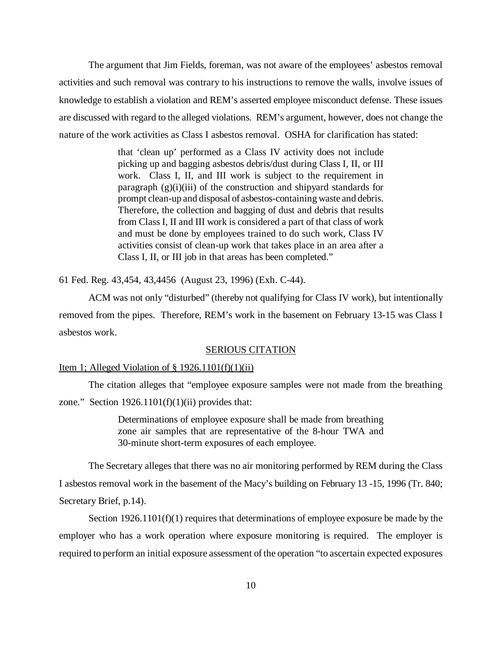The argument that Jim Fields, foreman, was not aware of the employees' asbestos removal activities and such removal was contrary to his instructions to remove the walls, involve issues of knowledge to establish a violation and REM's asserted employee misconduct defense. These issues are discussed with regard to the alleged violations. REM's argument, however, does not change the nature of the work activities as Class I asbestos removal. OSHA for clarification has stated:

> that 'clean up' performed as a Class IV activity does not include picking up and bagging asbestos debris/dust during Class I, II, or III work. Class I, II, and III work is subject to the requirement in paragraph  $(g)(i)(iii)$  of the construction and shipyard standards for prompt clean-up and disposal of asbestos-containing waste and debris. Therefore, the collection and bagging of dust and debris that results from Class I, II and III work is considered a part of that class of work and must be done by employees trained to do such work, Class IV activities consist of clean-up work that takes place in an area after a Class I, II, or III job in that areas has been completed."

61 Fed. Reg. 43,454, 43,4456 (August 23, 1996) (Exh. C-44).

ACM was not only "disturbed" (thereby not qualifying for Class IV work), but intentionally removed from the pipes. Therefore, REM's work in the basement on February 13-15 was Class I asbestos work.

## SERIOUS CITATION

## Item 1; Alleged Violation of  $\S 1926.1101(f)(1)(ii)$

The citation alleges that "employee exposure samples were not made from the breathing zone." Section  $1926.1101(f)(1)(ii)$  provides that:

> Determinations of employee exposure shall be made from breathing zone air samples that are representative of the 8-hour TWA and 30-minute short-term exposures of each employee.

The Secretary alleges that there was no air monitoring performed by REM during the Class I asbestos removal work in the basement of the Macy's building on February 13 -15, 1996 (Tr. 840; Secretary Brief, p.14).

Section  $1926.1101(f)(1)$  requires that determinations of employee exposure be made by the employer who has a work operation where exposure monitoring is required. The employer is required to perform an initial exposure assessment of the operation "to ascertain expected exposures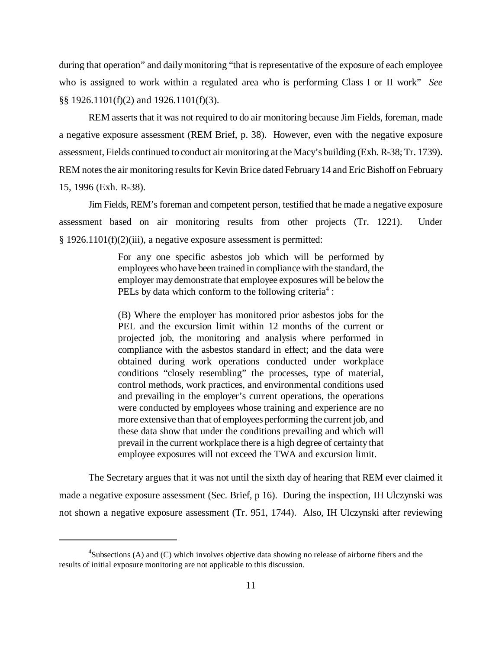during that operation" and daily monitoring "that is representative of the exposure of each employee who is assigned to work within a regulated area who is performing Class I or II work" *See* §§ 1926.1101(f)(2) and 1926.1101(f)(3).

REM asserts that it was not required to do air monitoring because Jim Fields, foreman, made a negative exposure assessment (REM Brief, p. 38). However, even with the negative exposure assessment, Fields continued to conduct air monitoring at the Macy's building (Exh. R-38; Tr. 1739). REM notes the air monitoring results for Kevin Brice dated February 14 and Eric Bishoff on February 15, 1996 (Exh. R-38).

Jim Fields, REM's foreman and competent person, testified that he made a negative exposure assessment based on air monitoring results from other projects (Tr. 1221). Under § 1926.1101(f)(2)(iii), a negative exposure assessment is permitted:

> For any one specific asbestos job which will be performed by employees who have been trained in compliance with the standard, the employer may demonstrate that employee exposures will be below the PELs by data which conform to the following criteria<sup>4</sup>:

> (B) Where the employer has monitored prior asbestos jobs for the PEL and the excursion limit within 12 months of the current or projected job, the monitoring and analysis where performed in compliance with the asbestos standard in effect; and the data were obtained during work operations conducted under workplace conditions "closely resembling" the processes, type of material, control methods, work practices, and environmental conditions used and prevailing in the employer's current operations, the operations were conducted by employees whose training and experience are no more extensive than that of employees performing the current job, and these data show that under the conditions prevailing and which will prevail in the current workplace there is a high degree of certainty that employee exposures will not exceed the TWA and excursion limit.

The Secretary argues that it was not until the sixth day of hearing that REM ever claimed it made a negative exposure assessment (Sec. Brief, p 16). During the inspection, IH Ulczynski was not shown a negative exposure assessment (Tr. 951, 1744). Also, IH Ulczynski after reviewing

 ${}^{4}$ Subsections (A) and (C) which involves objective data showing no release of airborne fibers and the results of initial exposure monitoring are not applicable to this discussion.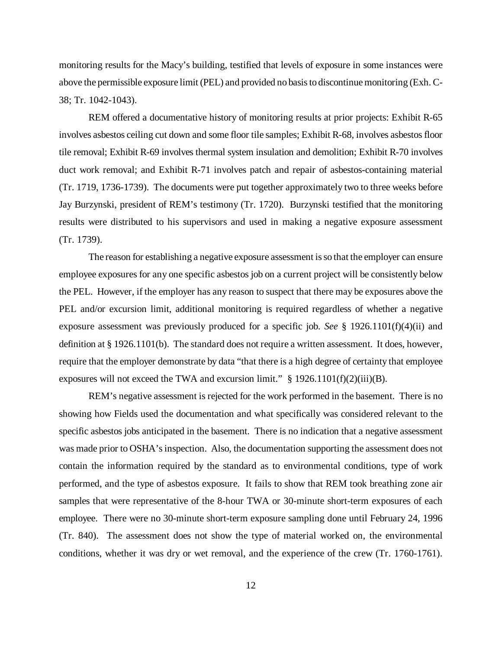monitoring results for the Macy's building, testified that levels of exposure in some instances were above the permissible exposure limit (PEL) and provided no basis to discontinue monitoring (Exh. C-38; Tr. 1042-1043).

REM offered a documentative history of monitoring results at prior projects: Exhibit R-65 involves asbestos ceiling cut down and some floor tile samples; Exhibit R-68, involves asbestos floor tile removal; Exhibit R-69 involves thermal system insulation and demolition; Exhibit R-70 involves duct work removal; and Exhibit R-71 involves patch and repair of asbestos-containing material (Tr. 1719, 1736-1739). The documents were put together approximately two to three weeks before Jay Burzynski, president of REM's testimony (Tr. 1720). Burzynski testified that the monitoring results were distributed to his supervisors and used in making a negative exposure assessment (Tr. 1739).

The reason for establishing a negative exposure assessment is so that the employer can ensure employee exposures for any one specific asbestos job on a current project will be consistently below the PEL. However, if the employer has any reason to suspect that there may be exposures above the PEL and/or excursion limit, additional monitoring is required regardless of whether a negative exposure assessment was previously produced for a specific job. *See* § 1926.1101(f)(4)(ii) and definition at § 1926.1101(b). The standard does not require a written assessment. It does, however, require that the employer demonstrate by data "that there is a high degree of certainty that employee exposures will not exceed the TWA and excursion limit."  $\S$  1926.1101(f)(2)(iii)(B).

REM's negative assessment is rejected for the work performed in the basement. There is no showing how Fields used the documentation and what specifically was considered relevant to the specific asbestos jobs anticipated in the basement. There is no indication that a negative assessment was made prior to OSHA's inspection. Also, the documentation supporting the assessment does not contain the information required by the standard as to environmental conditions, type of work performed, and the type of asbestos exposure. It fails to show that REM took breathing zone air samples that were representative of the 8-hour TWA or 30-minute short-term exposures of each employee. There were no 30-minute short-term exposure sampling done until February 24, 1996 (Tr. 840). The assessment does not show the type of material worked on, the environmental conditions, whether it was dry or wet removal, and the experience of the crew (Tr. 1760-1761).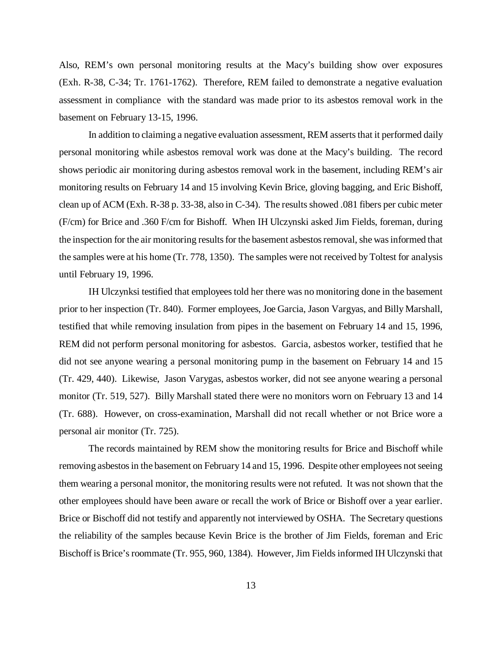Also, REM's own personal monitoring results at the Macy's building show over exposures (Exh. R-38, C-34; Tr. 1761-1762). Therefore, REM failed to demonstrate a negative evaluation assessment in compliance with the standard was made prior to its asbestos removal work in the basement on February 13-15, 1996.

In addition to claiming a negative evaluation assessment, REM asserts that it performed daily personal monitoring while asbestos removal work was done at the Macy's building. The record shows periodic air monitoring during asbestos removal work in the basement, including REM's air monitoring results on February 14 and 15 involving Kevin Brice, gloving bagging, and Eric Bishoff, clean up of ACM (Exh. R-38 p. 33-38, also in C-34). The results showed .081 fibers per cubic meter (F/cm) for Brice and .360 F/cm for Bishoff. When IH Ulczynski asked Jim Fields, foreman, during the inspection for the air monitoring results for the basement asbestos removal, she was informed that the samples were at his home (Tr. 778, 1350). The samples were not received by Toltest for analysis until February 19, 1996.

IH Ulczynksi testified that employees told her there was no monitoring done in the basement prior to her inspection (Tr. 840). Former employees, Joe Garcia, Jason Vargyas, and Billy Marshall, testified that while removing insulation from pipes in the basement on February 14 and 15, 1996, REM did not perform personal monitoring for asbestos. Garcia, asbestos worker, testified that he did not see anyone wearing a personal monitoring pump in the basement on February 14 and 15 (Tr. 429, 440). Likewise, Jason Varygas, asbestos worker, did not see anyone wearing a personal monitor (Tr. 519, 527). Billy Marshall stated there were no monitors worn on February 13 and 14 (Tr. 688). However, on cross-examination, Marshall did not recall whether or not Brice wore a personal air monitor (Tr. 725).

The records maintained by REM show the monitoring results for Brice and Bischoff while removing asbestos in the basement on February 14 and 15, 1996. Despite other employees not seeing them wearing a personal monitor, the monitoring results were not refuted. It was not shown that the other employees should have been aware or recall the work of Brice or Bishoff over a year earlier. Brice or Bischoff did not testify and apparently not interviewed by OSHA. The Secretary questions the reliability of the samples because Kevin Brice is the brother of Jim Fields, foreman and Eric Bischoff is Brice's roommate (Tr. 955, 960, 1384). However, Jim Fields informed IH Ulczynski that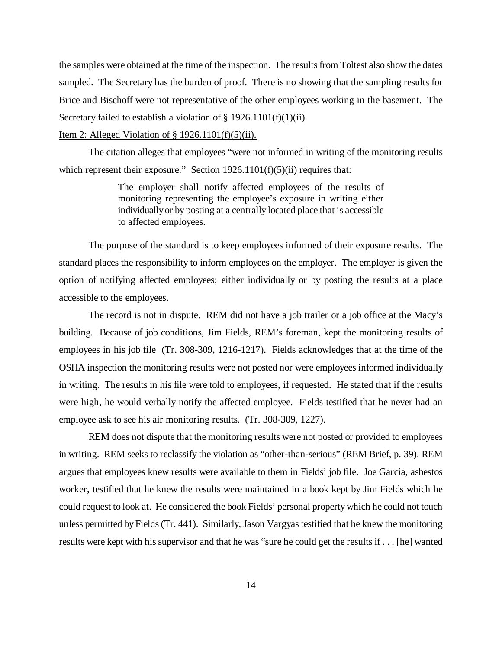the samples were obtained at the time of the inspection. The results from Toltest also show the dates sampled. The Secretary has the burden of proof. There is no showing that the sampling results for Brice and Bischoff were not representative of the other employees working in the basement. The Secretary failed to establish a violation of  $\S 1926.1101(f)(1)(ii)$ .

## Item 2: Alleged Violation of § 1926.1101(f)(5)(ii).

The citation alleges that employees "were not informed in writing of the monitoring results which represent their exposure." Section  $1926.1101(f)(5)(ii)$  requires that:

> The employer shall notify affected employees of the results of monitoring representing the employee's exposure in writing either individually or by posting at a centrally located place that is accessible to affected employees.

The purpose of the standard is to keep employees informed of their exposure results. The standard places the responsibility to inform employees on the employer. The employer is given the option of notifying affected employees; either individually or by posting the results at a place accessible to the employees.

The record is not in dispute. REM did not have a job trailer or a job office at the Macy's building. Because of job conditions, Jim Fields, REM's foreman, kept the monitoring results of employees in his job file (Tr. 308-309, 1216-1217). Fields acknowledges that at the time of the OSHA inspection the monitoring results were not posted nor were employees informed individually in writing. The results in his file were told to employees, if requested. He stated that if the results were high, he would verbally notify the affected employee. Fields testified that he never had an employee ask to see his air monitoring results. (Tr. 308-309, 1227).

REM does not dispute that the monitoring results were not posted or provided to employees in writing. REM seeks to reclassify the violation as "other-than-serious" (REM Brief, p. 39). REM argues that employees knew results were available to them in Fields' job file. Joe Garcia, asbestos worker, testified that he knew the results were maintained in a book kept by Jim Fields which he could request to look at. He considered the book Fields' personal property which he could not touch unless permitted by Fields (Tr. 441). Similarly, Jason Vargyas testified that he knew the monitoring results were kept with his supervisor and that he was "sure he could get the results if . . . [he] wanted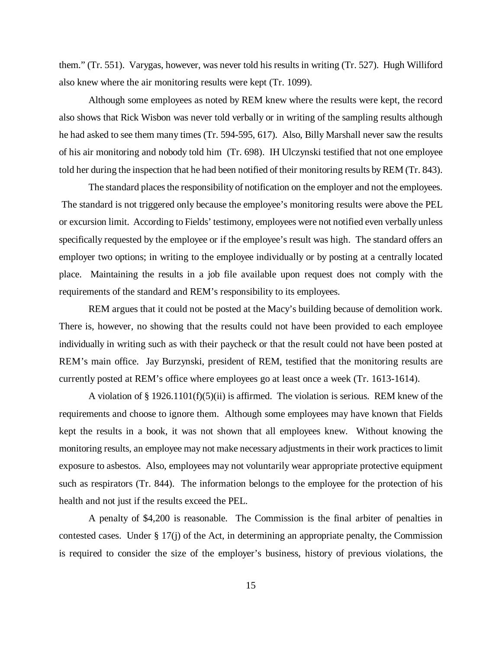them." (Tr. 551). Varygas, however, was never told his results in writing (Tr. 527). Hugh Williford also knew where the air monitoring results were kept (Tr. 1099).

Although some employees as noted by REM knew where the results were kept, the record also shows that Rick Wisbon was never told verbally or in writing of the sampling results although he had asked to see them many times (Tr. 594-595, 617). Also, Billy Marshall never saw the results of his air monitoring and nobody told him (Tr. 698). IH Ulczynski testified that not one employee told her during the inspection that he had been notified of their monitoring results by REM (Tr. 843).

The standard places the responsibility of notification on the employer and not the employees. The standard is not triggered only because the employee's monitoring results were above the PEL or excursion limit. According to Fields' testimony, employees were not notified even verbally unless specifically requested by the employee or if the employee's result was high. The standard offers an employer two options; in writing to the employee individually or by posting at a centrally located place. Maintaining the results in a job file available upon request does not comply with the requirements of the standard and REM's responsibility to its employees.

REM argues that it could not be posted at the Macy's building because of demolition work. There is, however, no showing that the results could not have been provided to each employee individually in writing such as with their paycheck or that the result could not have been posted at REM's main office. Jay Burzynski, president of REM, testified that the monitoring results are currently posted at REM's office where employees go at least once a week (Tr. 1613-1614).

A violation of § 1926.1101(f)(5)(ii) is affirmed. The violation is serious. REM knew of the requirements and choose to ignore them. Although some employees may have known that Fields kept the results in a book, it was not shown that all employees knew. Without knowing the monitoring results, an employee may not make necessary adjustments in their work practices to limit exposure to asbestos. Also, employees may not voluntarily wear appropriate protective equipment such as respirators (Tr. 844). The information belongs to the employee for the protection of his health and not just if the results exceed the PEL.

A penalty of \$4,200 is reasonable. The Commission is the final arbiter of penalties in contested cases. Under § 17(j) of the Act, in determining an appropriate penalty, the Commission is required to consider the size of the employer's business, history of previous violations, the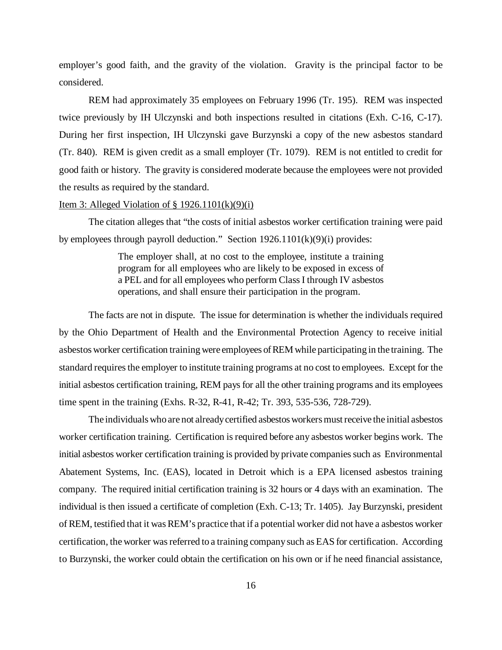employer's good faith, and the gravity of the violation. Gravity is the principal factor to be considered.

REM had approximately 35 employees on February 1996 (Tr. 195). REM was inspected twice previously by IH Ulczynski and both inspections resulted in citations (Exh. C-16, C-17). During her first inspection, IH Ulczynski gave Burzynski a copy of the new asbestos standard (Tr. 840). REM is given credit as a small employer (Tr. 1079). REM is not entitled to credit for good faith or history. The gravity is considered moderate because the employees were not provided the results as required by the standard.

### Item 3: Alleged Violation of  $\S 1926.1101(k)(9)(i)$

The citation alleges that "the costs of initial asbestos worker certification training were paid by employees through payroll deduction." Section 1926.1101(k)(9)(i) provides:

> The employer shall, at no cost to the employee, institute a training program for all employees who are likely to be exposed in excess of a PEL and for all employees who perform Class I through IV asbestos operations, and shall ensure their participation in the program.

The facts are not in dispute. The issue for determination is whether the individuals required by the Ohio Department of Health and the Environmental Protection Agency to receive initial asbestos worker certification training were employees of REM while participating in the training. The standard requires the employer to institute training programs at no cost to employees. Except for the initial asbestos certification training, REM pays for all the other training programs and its employees time spent in the training (Exhs. R-32, R-41, R-42; Tr. 393, 535-536, 728-729).

The individuals who are not already certified asbestos workers must receive the initial asbestos worker certification training. Certification is required before any asbestos worker begins work. The initial asbestos worker certification training is provided by private companies such as Environmental Abatement Systems, Inc. (EAS), located in Detroit which is a EPA licensed asbestos training company. The required initial certification training is 32 hours or 4 days with an examination. The individual is then issued a certificate of completion (Exh. C-13; Tr. 1405). Jay Burzynski, president of REM, testified that it was REM's practice that if a potential worker did not have a asbestos worker certification, the worker was referred to a training company such as EAS for certification. According to Burzynski, the worker could obtain the certification on his own or if he need financial assistance,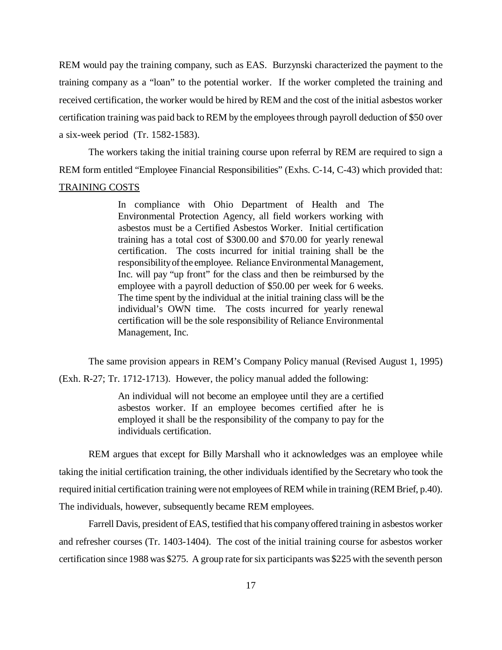REM would pay the training company, such as EAS. Burzynski characterized the payment to the training company as a "loan" to the potential worker. If the worker completed the training and received certification, the worker would be hired by REM and the cost of the initial asbestos worker certification training was paid back to REM by the employees through payroll deduction of \$50 over a six-week period (Tr. 1582-1583).

The workers taking the initial training course upon referral by REM are required to sign a REM form entitled "Employee Financial Responsibilities" (Exhs. C-14, C-43) which provided that: TRAINING COSTS

> In compliance with Ohio Department of Health and The Environmental Protection Agency, all field workers working with asbestos must be a Certified Asbestos Worker. Initial certification training has a total cost of \$300.00 and \$70.00 for yearly renewal certification. The costs incurred for initial training shall be the responsibility of the employee. Reliance Environmental Management, Inc. will pay "up front" for the class and then be reimbursed by the employee with a payroll deduction of \$50.00 per week for 6 weeks. The time spent by the individual at the initial training class will be the individual's OWN time. The costs incurred for yearly renewal certification will be the sole responsibility of Reliance Environmental Management, Inc.

The same provision appears in REM's Company Policy manual (Revised August 1, 1995)

(Exh. R-27; Tr. 1712-1713). However, the policy manual added the following:

An individual will not become an employee until they are a certified asbestos worker. If an employee becomes certified after he is employed it shall be the responsibility of the company to pay for the individuals certification.

REM argues that except for Billy Marshall who it acknowledges was an employee while taking the initial certification training, the other individuals identified by the Secretary who took the required initial certification training were not employees of REM while in training (REM Brief, p.40). The individuals, however, subsequently became REM employees.

Farrell Davis, president of EAS, testified that his company offered training in asbestos worker and refresher courses (Tr. 1403-1404). The cost of the initial training course for asbestos worker certification since 1988 was \$275. A group rate for six participants was \$225 with the seventh person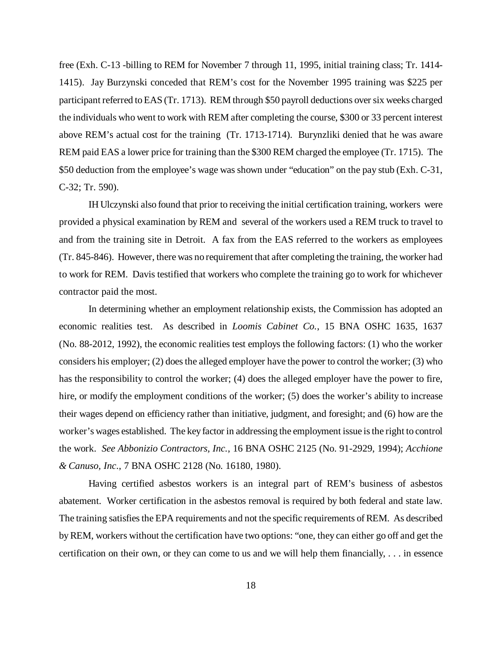free (Exh. C-13 -billing to REM for November 7 through 11, 1995, initial training class; Tr. 1414- 1415). Jay Burzynski conceded that REM's cost for the November 1995 training was \$225 per participant referred to EAS (Tr. 1713). REM through \$50 payroll deductions over six weeks charged the individuals who went to work with REM after completing the course, \$300 or 33 percent interest above REM's actual cost for the training (Tr. 1713-1714). Burynzliki denied that he was aware REM paid EAS a lower price for training than the \$300 REM charged the employee (Tr. 1715). The \$50 deduction from the employee's wage was shown under "education" on the pay stub (Exh. C-31, C-32; Tr. 590).

IH Ulczynski also found that prior to receiving the initial certification training, workers were provided a physical examination by REM and several of the workers used a REM truck to travel to and from the training site in Detroit. A fax from the EAS referred to the workers as employees (Tr. 845-846). However, there was no requirement that after completing the training, the worker had to work for REM. Davis testified that workers who complete the training go to work for whichever contractor paid the most.

In determining whether an employment relationship exists, the Commission has adopted an economic realities test. As described in *Loomis Cabinet Co.*, 15 BNA OSHC 1635, 1637 (No. 88-2012, 1992), the economic realities test employs the following factors: (1) who the worker considers his employer; (2) does the alleged employer have the power to control the worker; (3) who has the responsibility to control the worker; (4) does the alleged employer have the power to fire, hire, or modify the employment conditions of the worker; (5) does the worker's ability to increase their wages depend on efficiency rather than initiative, judgment, and foresight; and (6) how are the worker's wages established. The key factor in addressing the employment issue is the right to control the work. *See Abbonizio Contractors, Inc.*, 16 BNA OSHC 2125 (No. 91-2929, 1994); *Acchione & Canuso, Inc*., 7 BNA OSHC 2128 (No. 16180, 1980).

Having certified asbestos workers is an integral part of REM's business of asbestos abatement. Worker certification in the asbestos removal is required by both federal and state law. The training satisfies the EPA requirements and not the specific requirements of REM. As described by REM, workers without the certification have two options: "one, they can either go off and get the certification on their own, or they can come to us and we will help them financially, . . . in essence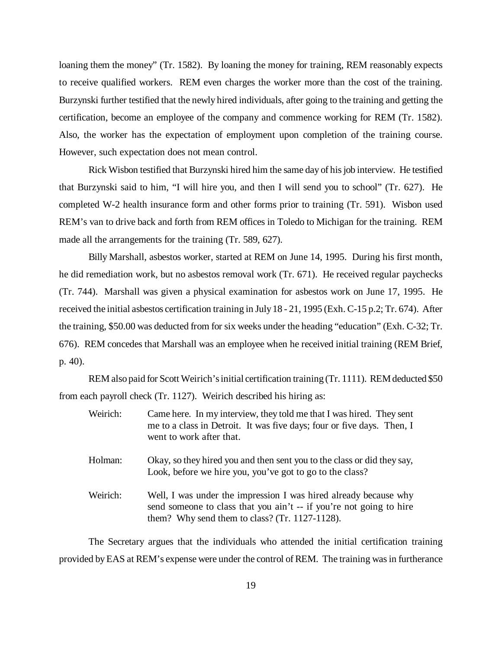loaning them the money" (Tr. 1582). By loaning the money for training, REM reasonably expects to receive qualified workers. REM even charges the worker more than the cost of the training. Burzynski further testified that the newly hired individuals, after going to the training and getting the certification, become an employee of the company and commence working for REM (Tr. 1582). Also, the worker has the expectation of employment upon completion of the training course. However, such expectation does not mean control.

Rick Wisbon testified that Burzynski hired him the same day of his job interview. He testified that Burzynski said to him, "I will hire you, and then I will send you to school" (Tr. 627). He completed W-2 health insurance form and other forms prior to training (Tr. 591). Wisbon used REM's van to drive back and forth from REM offices in Toledo to Michigan for the training. REM made all the arrangements for the training (Tr. 589, 627).

Billy Marshall, asbestos worker, started at REM on June 14, 1995. During his first month, he did remediation work, but no asbestos removal work (Tr. 671). He received regular paychecks (Tr. 744). Marshall was given a physical examination for asbestos work on June 17, 1995. He received the initial asbestos certification training in July 18 - 21, 1995 (Exh. C-15 p.2; Tr. 674). After the training, \$50.00 was deducted from for six weeks under the heading "education" (Exh. C-32; Tr. 676). REM concedes that Marshall was an employee when he received initial training (REM Brief, p. 40).

REM also paid for Scott Weirich's initial certification training (Tr. 1111). REM deducted \$50 from each payroll check (Tr. 1127). Weirich described his hiring as:

| Weirich: | Came here. In my interview, they told me that I was hired. They sent<br>me to a class in Detroit. It was five days; four or five days. Then, I<br>went to work after that.                   |
|----------|----------------------------------------------------------------------------------------------------------------------------------------------------------------------------------------------|
| Holman:  | Okay, so they hired you and then sent you to the class or did they say,<br>Look, before we hire you, you've got to go to the class?                                                          |
| Weirich: | Well, I was under the impression I was hired already because why<br>send someone to class that you ain't -- if you're not going to hire<br>them? Why send them to class? (Tr. $1127-1128$ ). |

The Secretary argues that the individuals who attended the initial certification training provided by EAS at REM's expense were under the control of REM. The training was in furtherance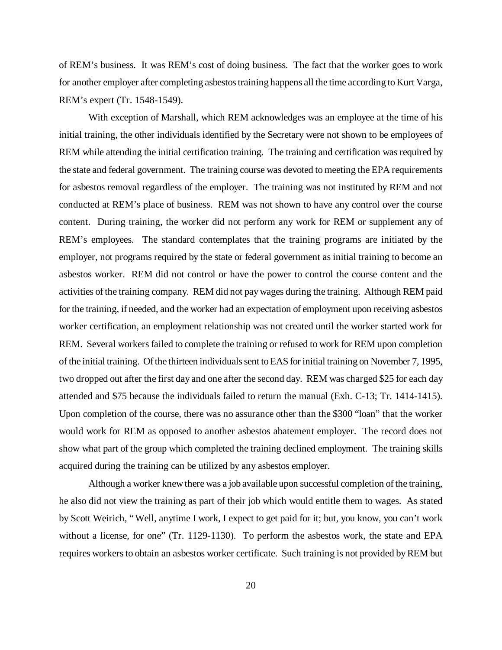of REM's business. It was REM's cost of doing business. The fact that the worker goes to work for another employer after completing asbestos training happens all the time according to Kurt Varga, REM's expert (Tr. 1548-1549).

With exception of Marshall, which REM acknowledges was an employee at the time of his initial training, the other individuals identified by the Secretary were not shown to be employees of REM while attending the initial certification training. The training and certification was required by the state and federal government. The training course was devoted to meeting the EPA requirements for asbestos removal regardless of the employer. The training was not instituted by REM and not conducted at REM's place of business. REM was not shown to have any control over the course content. During training, the worker did not perform any work for REM or supplement any of REM's employees. The standard contemplates that the training programs are initiated by the employer, not programs required by the state or federal government as initial training to become an asbestos worker. REM did not control or have the power to control the course content and the activities of the training company. REM did not pay wages during the training. Although REM paid for the training, if needed, and the worker had an expectation of employment upon receiving asbestos worker certification, an employment relationship was not created until the worker started work for REM. Several workers failed to complete the training or refused to work for REM upon completion of the initial training. Of the thirteen individuals sent to EAS for initial training on November 7, 1995, two dropped out after the first day and one after the second day. REM was charged \$25 for each day attended and \$75 because the individuals failed to return the manual (Exh. C-13; Tr. 1414-1415). Upon completion of the course, there was no assurance other than the \$300 "loan" that the worker would work for REM as opposed to another asbestos abatement employer. The record does not show what part of the group which completed the training declined employment. The training skills acquired during the training can be utilized by any asbestos employer.

Although a worker knew there was a job available upon successful completion of the training, he also did not view the training as part of their job which would entitle them to wages. As stated by Scott Weirich, "Well, anytime I work, I expect to get paid for it; but, you know, you can't work without a license, for one" (Tr. 1129-1130). To perform the asbestos work, the state and EPA requires workers to obtain an asbestos worker certificate. Such training is not provided by REM but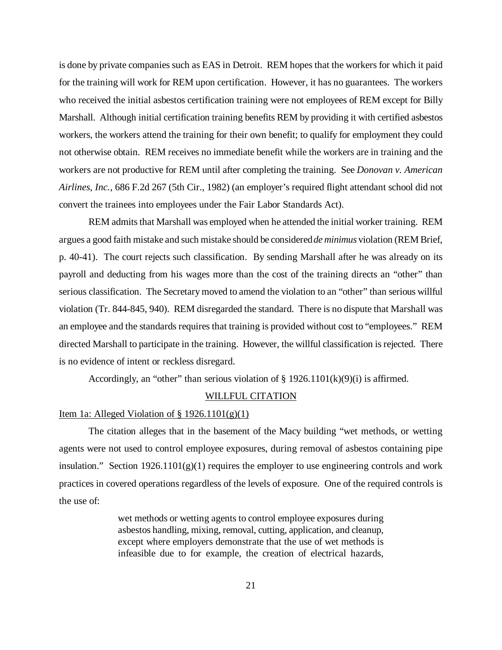is done by private companies such as EAS in Detroit. REM hopes that the workers for which it paid for the training will work for REM upon certification. However, it has no guarantees. The workers who received the initial asbestos certification training were not employees of REM except for Billy Marshall. Although initial certification training benefits REM by providing it with certified asbestos workers, the workers attend the training for their own benefit; to qualify for employment they could not otherwise obtain. REM receives no immediate benefit while the workers are in training and the workers are not productive for REM until after completing the training. See *Donovan v. American Airlines, Inc.*, 686 F.2d 267 (5th Cir., 1982) (an employer's required flight attendant school did not convert the trainees into employees under the Fair Labor Standards Act).

REM admits that Marshall was employed when he attended the initial worker training. REM argues a good faith mistake and such mistake should be considered *de minimus* violation (REM Brief, p. 40-41). The court rejects such classification. By sending Marshall after he was already on its payroll and deducting from his wages more than the cost of the training directs an "other" than serious classification. The Secretary moved to amend the violation to an "other" than serious willful violation (Tr. 844-845, 940). REM disregarded the standard. There is no dispute that Marshall was an employee and the standards requires that training is provided without cost to "employees." REM directed Marshall to participate in the training. However, the willful classification is rejected. There is no evidence of intent or reckless disregard.

Accordingly, an "other" than serious violation of  $\S$  1926.1101(k)(9)(i) is affirmed.

#### WILLFUL CITATION

### Item 1a: Alleged Violation of  $\S 1926.1101(g)(1)$

The citation alleges that in the basement of the Macy building "wet methods, or wetting agents were not used to control employee exposures, during removal of asbestos containing pipe insulation." Section  $1926.1101(g)(1)$  requires the employer to use engineering controls and work practices in covered operations regardless of the levels of exposure. One of the required controls is the use of:

> wet methods or wetting agents to control employee exposures during asbestos handling, mixing, removal, cutting, application, and cleanup, except where employers demonstrate that the use of wet methods is infeasible due to for example, the creation of electrical hazards,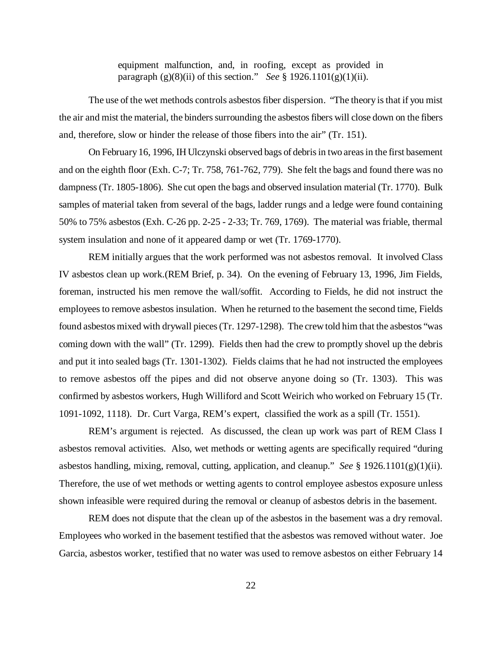equipment malfunction, and, in roofing, except as provided in paragraph (g)(8)(ii) of this section." *See* § 1926.1101(g)(1)(ii).

The use of the wet methods controls asbestos fiber dispersion. "The theory is that if you mist the air and mist the material, the binders surrounding the asbestos fibers will close down on the fibers and, therefore, slow or hinder the release of those fibers into the air" (Tr. 151).

On February 16, 1996, IH Ulczynski observed bags of debris in two areas in the first basement and on the eighth floor (Exh. C-7; Tr. 758, 761-762, 779). She felt the bags and found there was no dampness (Tr. 1805-1806). She cut open the bags and observed insulation material (Tr. 1770). Bulk samples of material taken from several of the bags, ladder rungs and a ledge were found containing 50% to 75% asbestos (Exh. C-26 pp. 2-25 - 2-33; Tr. 769, 1769). The material was friable, thermal system insulation and none of it appeared damp or wet (Tr. 1769-1770).

REM initially argues that the work performed was not asbestos removal. It involved Class IV asbestos clean up work.(REM Brief, p. 34). On the evening of February 13, 1996, Jim Fields, foreman, instructed his men remove the wall/soffit. According to Fields, he did not instruct the employees to remove asbestos insulation. When he returned to the basement the second time, Fields found asbestos mixed with drywall pieces (Tr. 1297-1298). The crew told him that the asbestos "was coming down with the wall" (Tr. 1299). Fields then had the crew to promptly shovel up the debris and put it into sealed bags (Tr. 1301-1302). Fields claims that he had not instructed the employees to remove asbestos off the pipes and did not observe anyone doing so (Tr. 1303). This was confirmed by asbestos workers, Hugh Williford and Scott Weirich who worked on February 15 (Tr. 1091-1092, 1118). Dr. Curt Varga, REM's expert, classified the work as a spill (Tr. 1551).

REM's argument is rejected. As discussed, the clean up work was part of REM Class I asbestos removal activities. Also, wet methods or wetting agents are specifically required "during asbestos handling, mixing, removal, cutting, application, and cleanup." *See* § 1926.1101(g)(1)(ii). Therefore, the use of wet methods or wetting agents to control employee asbestos exposure unless shown infeasible were required during the removal or cleanup of asbestos debris in the basement.

REM does not dispute that the clean up of the asbestos in the basement was a dry removal. Employees who worked in the basement testified that the asbestos was removed without water. Joe Garcia, asbestos worker, testified that no water was used to remove asbestos on either February 14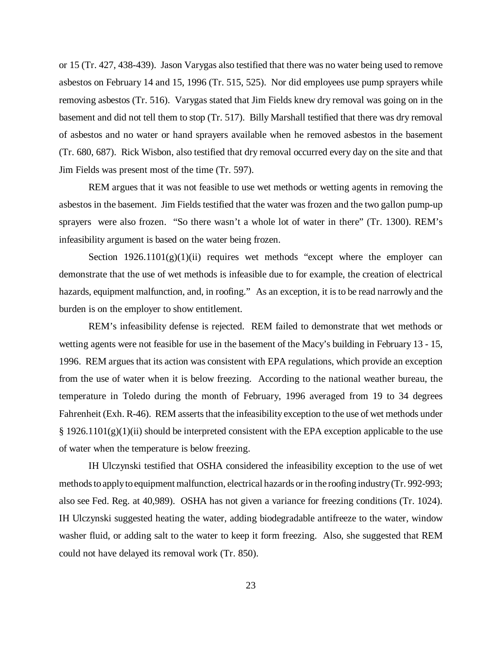or 15 (Tr. 427, 438-439). Jason Varygas also testified that there was no water being used to remove asbestos on February 14 and 15, 1996 (Tr. 515, 525). Nor did employees use pump sprayers while removing asbestos (Tr. 516). Varygas stated that Jim Fields knew dry removal was going on in the basement and did not tell them to stop (Tr. 517). Billy Marshall testified that there was dry removal of asbestos and no water or hand sprayers available when he removed asbestos in the basement (Tr. 680, 687). Rick Wisbon, also testified that dry removal occurred every day on the site and that Jim Fields was present most of the time (Tr. 597).

REM argues that it was not feasible to use wet methods or wetting agents in removing the asbestos in the basement. Jim Fields testified that the water was frozen and the two gallon pump-up sprayers were also frozen. "So there wasn't a whole lot of water in there" (Tr. 1300). REM's infeasibility argument is based on the water being frozen.

Section  $1926.1101(g)(1)(ii)$  requires wet methods "except where the employer can demonstrate that the use of wet methods is infeasible due to for example, the creation of electrical hazards, equipment malfunction, and, in roofing." As an exception, it is to be read narrowly and the burden is on the employer to show entitlement.

REM's infeasibility defense is rejected. REM failed to demonstrate that wet methods or wetting agents were not feasible for use in the basement of the Macy's building in February 13 - 15, 1996. REM argues that its action was consistent with EPA regulations, which provide an exception from the use of water when it is below freezing. According to the national weather bureau, the temperature in Toledo during the month of February, 1996 averaged from 19 to 34 degrees Fahrenheit (Exh. R-46). REM asserts that the infeasibility exception to the use of wet methods under  $§$  1926.1101(g)(1)(ii) should be interpreted consistent with the EPA exception applicable to the use of water when the temperature is below freezing.

IH Ulczynski testified that OSHA considered the infeasibility exception to the use of wet methods to apply to equipment malfunction, electrical hazards or in the roofing industry (Tr. 992-993; also see Fed. Reg. at 40,989). OSHA has not given a variance for freezing conditions (Tr. 1024). IH Ulczynski suggested heating the water, adding biodegradable antifreeze to the water, window washer fluid, or adding salt to the water to keep it form freezing. Also, she suggested that REM could not have delayed its removal work (Tr. 850).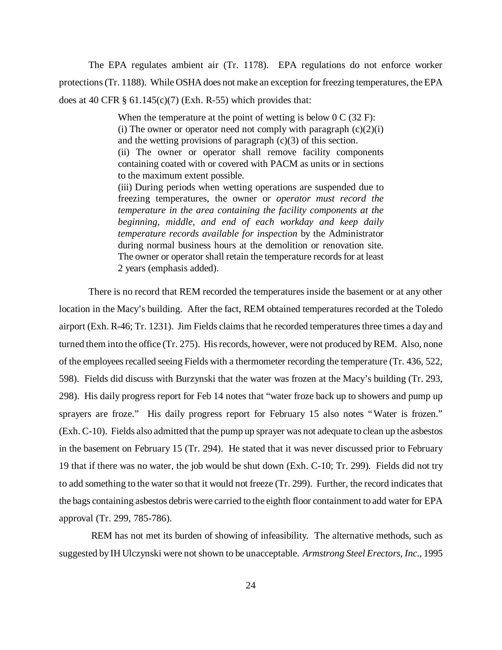The EPA regulates ambient air (Tr. 1178). EPA regulations do not enforce worker protections (Tr. 1188). While OSHA does not make an exception for freezing temperatures, the EPA does at 40 CFR  $\S$  61.145(c)(7) (Exh. R-55) which provides that:

> When the temperature at the point of wetting is below 0 C (32 F): (i) The owner or operator need not comply with paragraph  $(c)(2)(i)$ and the wetting provisions of paragraph (c)(3) of this section. (ii) The owner or operator shall remove facility components containing coated with or covered with PACM as units or in sections

to the maximum extent possible.

(iii) During periods when wetting operations are suspended due to freezing temperatures, the owner or *operator must record the temperature in the area containing the facility components at the beginning, middle, and end of each workday and keep daily temperature records available for inspection* by the Administrator during normal business hours at the demolition or renovation site. The owner or operator shall retain the temperature records for at least 2 years (emphasis added).

There is no record that REM recorded the temperatures inside the basement or at any other location in the Macy's building. After the fact, REM obtained temperatures recorded at the Toledo airport (Exh. R-46; Tr. 1231). Jim Fields claims that he recorded temperatures three times a day and turned them into the office (Tr. 275). His records, however, were not produced by REM. Also, none of the employees recalled seeing Fields with a thermometer recording the temperature (Tr. 436, 522, 598). Fields did discuss with Burzynski that the water was frozen at the Macy's building (Tr. 293, 298). His daily progress report for Feb 14 notes that "water froze back up to showers and pump up sprayers are froze." His daily progress report for February 15 also notes "Water is frozen." (Exh. C-10). Fields also admitted that the pump up sprayer was not adequate to clean up the asbestos in the basement on February 15 (Tr. 294). He stated that it was never discussed prior to February 19 that if there was no water, the job would be shut down (Exh. C-10; Tr. 299). Fields did not try to add something to the water so that it would not freeze (Tr. 299). Further, the record indicates that the bags containing asbestos debris were carried to the eighth floor containment to add water for EPA approval (Tr. 299, 785-786).

 REM has not met its burden of showing of infeasibility. The alternative methods, such as suggested by IH Ulczynski were not shown to be unacceptable. *Armstrong Steel Erectors, Inc*., 1995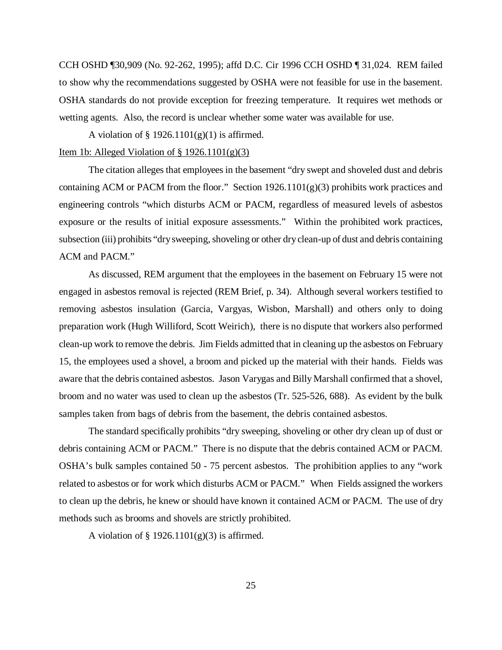CCH OSHD ¶30,909 (No. 92-262, 1995); affd D.C. Cir 1996 CCH OSHD ¶ 31,024. REM failed to show why the recommendations suggested by OSHA were not feasible for use in the basement. OSHA standards do not provide exception for freezing temperature. It requires wet methods or wetting agents. Also, the record is unclear whether some water was available for use.

A violation of  $\S$  1926.1101(g)(1) is affirmed.

#### Item 1b: Alleged Violation of  $\S 1926.1101(g)(3)$

The citation alleges that employees in the basement "dry swept and shoveled dust and debris containing ACM or PACM from the floor." Section  $1926.1101(g)(3)$  prohibits work practices and engineering controls "which disturbs ACM or PACM, regardless of measured levels of asbestos exposure or the results of initial exposure assessments." Within the prohibited work practices, subsection (iii) prohibits "dry sweeping, shoveling or other dry clean-up of dust and debris containing ACM and PACM."

As discussed, REM argument that the employees in the basement on February 15 were not engaged in asbestos removal is rejected (REM Brief, p. 34). Although several workers testified to removing asbestos insulation (Garcia, Vargyas, Wisbon, Marshall) and others only to doing preparation work (Hugh Williford, Scott Weirich), there is no dispute that workers also performed clean-up work to remove the debris. Jim Fields admitted that in cleaning up the asbestos on February 15, the employees used a shovel, a broom and picked up the material with their hands. Fields was aware that the debris contained asbestos. Jason Varygas and Billy Marshall confirmed that a shovel, broom and no water was used to clean up the asbestos (Tr. 525-526, 688). As evident by the bulk samples taken from bags of debris from the basement, the debris contained asbestos.

The standard specifically prohibits "dry sweeping, shoveling or other dry clean up of dust or debris containing ACM or PACM." There is no dispute that the debris contained ACM or PACM. OSHA's bulk samples contained 50 - 75 percent asbestos. The prohibition applies to any "work related to asbestos or for work which disturbs ACM or PACM." When Fields assigned the workers to clean up the debris, he knew or should have known it contained ACM or PACM. The use of dry methods such as brooms and shovels are strictly prohibited.

A violation of  $\S$  1926.1101(g)(3) is affirmed.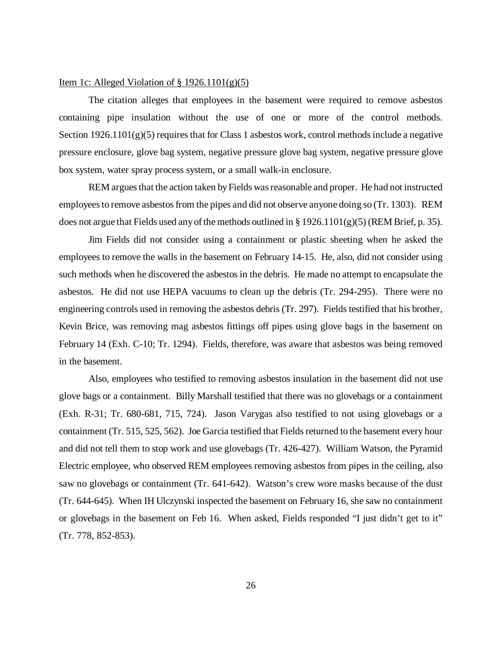#### Item 1c: Alleged Violation of  $\S 1926.1101(g)(5)$

The citation alleges that employees in the basement were required to remove asbestos containing pipe insulation without the use of one or more of the control methods. Section  $1926.1101(g)(5)$  requires that for Class 1 asbestos work, control methods include a negative pressure enclosure, glove bag system, negative pressure glove bag system, negative pressure glove box system, water spray process system, or a small walk-in enclosure.

REM argues that the action taken by Fields was reasonable and proper. He had not instructed employees to remove asbestos from the pipes and did not observe anyone doing so (Tr. 1303). REM does not argue that Fields used any of the methods outlined in § 1926.1101(g)(5) (REM Brief, p. 35).

Jim Fields did not consider using a containment or plastic sheeting when he asked the employees to remove the walls in the basement on February 14-15. He, also, did not consider using such methods when he discovered the asbestos in the debris. He made no attempt to encapsulate the asbestos. He did not use HEPA vacuums to clean up the debris (Tr. 294-295). There were no engineering controls used in removing the asbestos debris (Tr. 297). Fields testified that his brother, Kevin Brice, was removing mag asbestos fittings off pipes using glove bags in the basement on February 14 (Exh. C-10; Tr. 1294). Fields, therefore, was aware that asbestos was being removed in the basement.

Also, employees who testified to removing asbestos insulation in the basement did not use glove bags or a containment. Billy Marshall testified that there was no glovebags or a containment (Exh. R-31; Tr. 680-681, 715, 724). Jason Varygas also testified to not using glovebags or a containment (Tr. 515, 525, 562). Joe Garcia testified that Fields returned to the basement every hour and did not tell them to stop work and use glovebags (Tr. 426-427). William Watson, the Pyramid Electric employee, who observed REM employees removing asbestos from pipes in the ceiling, also saw no glovebags or containment (Tr. 641-642). Watson's crew wore masks because of the dust (Tr. 644-645). When IH Ulczynski inspected the basement on February 16, she saw no containment or glovebags in the basement on Feb 16. When asked, Fields responded "I just didn't get to it" (Tr. 778, 852-853).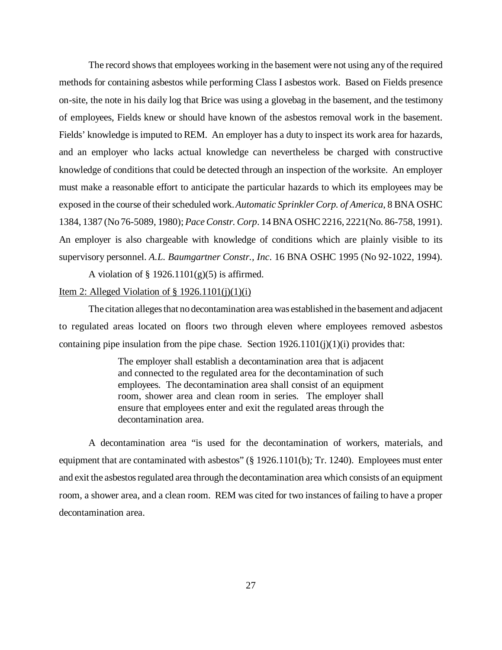The record shows that employees working in the basement were not using any of the required methods for containing asbestos while performing Class I asbestos work. Based on Fields presence on-site, the note in his daily log that Brice was using a glovebag in the basement, and the testimony of employees, Fields knew or should have known of the asbestos removal work in the basement. Fields' knowledge is imputed to REM. An employer has a duty to inspect its work area for hazards, and an employer who lacks actual knowledge can nevertheless be charged with constructive knowledge of conditions that could be detected through an inspection of the worksite. An employer must make a reasonable effort to anticipate the particular hazards to which its employees may be exposed in the course of their scheduled work. *Automatic Sprinkler Corp. of America*, 8 BNA OSHC 1384, 1387 (No 76-5089, 1980); *Pace Constr. Corp*. 14 BNA OSHC 2216, 2221(No. 86-758, 1991). An employer is also chargeable with knowledge of conditions which are plainly visible to its supervisory personnel. *A.L. Baumgartner Constr., Inc*. 16 BNA OSHC 1995 (No 92-1022, 1994).

A violation of  $\S$  1926.1101(g)(5) is affirmed.

## Item 2: Alleged Violation of  $\S 1926.1101(i)(1)(i)$

The citation alleges that no decontamination area was established in the basement and adjacent to regulated areas located on floors two through eleven where employees removed asbestos containing pipe insulation from the pipe chase. Section  $1926.1101(j)(1)(i)$  provides that:

> The employer shall establish a decontamination area that is adjacent and connected to the regulated area for the decontamination of such employees. The decontamination area shall consist of an equipment room, shower area and clean room in series. The employer shall ensure that employees enter and exit the regulated areas through the decontamination area.

A decontamination area "is used for the decontamination of workers, materials, and equipment that are contaminated with asbestos" (§ 1926.1101(b)*;* Tr. 1240). Employees must enter and exit the asbestos regulated area through the decontamination area which consists of an equipment room, a shower area, and a clean room. REM was cited for two instances of failing to have a proper decontamination area.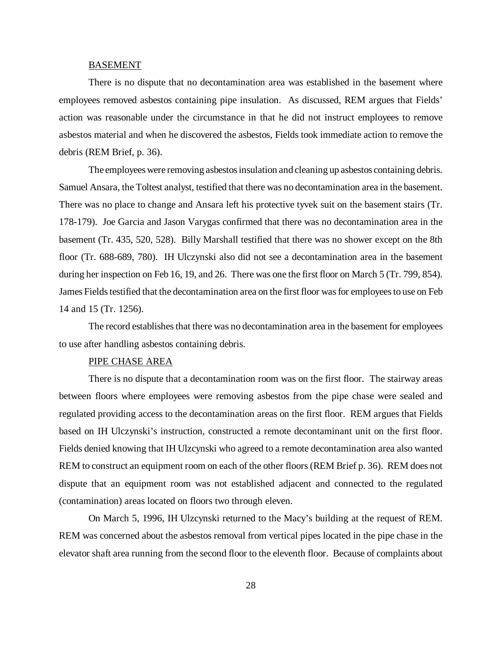#### **BASEMENT**

There is no dispute that no decontamination area was established in the basement where employees removed asbestos containing pipe insulation. As discussed, REM argues that Fields' action was reasonable under the circumstance in that he did not instruct employees to remove asbestos material and when he discovered the asbestos, Fields took immediate action to remove the debris (REM Brief, p. 36).

The employees were removing asbestos insulation and cleaning up asbestos containing debris. Samuel Ansara, the Toltest analyst, testified that there was no decontamination area in the basement. There was no place to change and Ansara left his protective tyvek suit on the basement stairs (Tr. 178-179). Joe Garcia and Jason Varygas confirmed that there was no decontamination area in the basement (Tr. 435, 520, 528). Billy Marshall testified that there was no shower except on the 8th floor (Tr. 688-689, 780). IH Ulczynski also did not see a decontamination area in the basement during her inspection on Feb 16, 19, and 26. There was one the first floor on March 5 (Tr. 799, 854). James Fields testified that the decontamination area on the first floor was for employees to use on Feb 14 and 15 (Tr. 1256).

The record establishes that there was no decontamination area in the basement for employees to use after handling asbestos containing debris.

## PIPE CHASE AREA

There is no dispute that a decontamination room was on the first floor. The stairway areas between floors where employees were removing asbestos from the pipe chase were sealed and regulated providing access to the decontamination areas on the first floor. REM argues that Fields based on IH Ulczynski's instruction, constructed a remote decontaminant unit on the first floor. Fields denied knowing that IH Ulzcynski who agreed to a remote decontamination area also wanted REM to construct an equipment room on each of the other floors (REM Brief p. 36). REM does not dispute that an equipment room was not established adjacent and connected to the regulated (contamination) areas located on floors two through eleven.

On March 5, 1996, IH Ulzcynski returned to the Macy's building at the request of REM. REM was concerned about the asbestos removal from vertical pipes located in the pipe chase in the elevator shaft area running from the second floor to the eleventh floor. Because of complaints about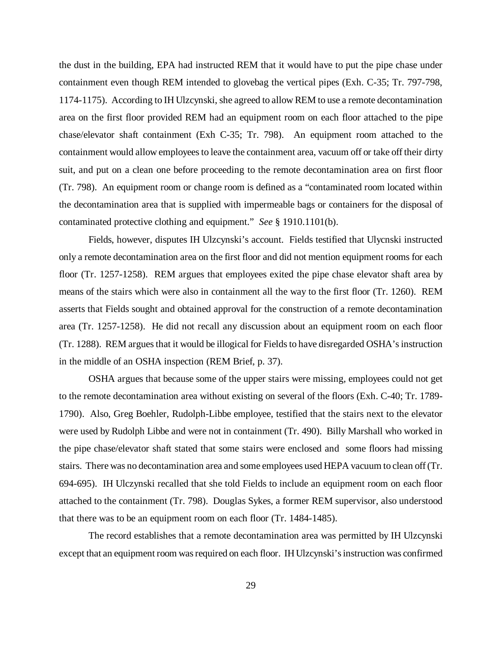the dust in the building, EPA had instructed REM that it would have to put the pipe chase under containment even though REM intended to glovebag the vertical pipes (Exh. C-35; Tr. 797-798, 1174-1175). According to IH Ulzcynski, she agreed to allow REM to use a remote decontamination area on the first floor provided REM had an equipment room on each floor attached to the pipe chase/elevator shaft containment (Exh C-35; Tr. 798). An equipment room attached to the containment would allow employees to leave the containment area, vacuum off or take off their dirty suit, and put on a clean one before proceeding to the remote decontamination area on first floor (Tr. 798). An equipment room or change room is defined as a "contaminated room located within the decontamination area that is supplied with impermeable bags or containers for the disposal of contaminated protective clothing and equipment." *See* § 1910.1101(b).

Fields, however, disputes IH Ulzcynski's account. Fields testified that Ulycnski instructed only a remote decontamination area on the first floor and did not mention equipment rooms for each floor (Tr. 1257-1258). REM argues that employees exited the pipe chase elevator shaft area by means of the stairs which were also in containment all the way to the first floor (Tr. 1260). REM asserts that Fields sought and obtained approval for the construction of a remote decontamination area (Tr. 1257-1258). He did not recall any discussion about an equipment room on each floor (Tr. 1288). REM argues that it would be illogical for Fields to have disregarded OSHA's instruction in the middle of an OSHA inspection (REM Brief, p. 37).

OSHA argues that because some of the upper stairs were missing, employees could not get to the remote decontamination area without existing on several of the floors (Exh. C-40; Tr. 1789- 1790). Also, Greg Boehler, Rudolph-Libbe employee, testified that the stairs next to the elevator were used by Rudolph Libbe and were not in containment (Tr. 490). Billy Marshall who worked in the pipe chase/elevator shaft stated that some stairs were enclosed and some floors had missing stairs. There was no decontamination area and some employees used HEPA vacuum to clean off (Tr. 694-695). IH Ulczynski recalled that she told Fields to include an equipment room on each floor attached to the containment (Tr. 798). Douglas Sykes, a former REM supervisor, also understood that there was to be an equipment room on each floor (Tr. 1484-1485).

The record establishes that a remote decontamination area was permitted by IH Ulzcynski except that an equipment room was required on each floor. IH Ulzcynski's instruction was confirmed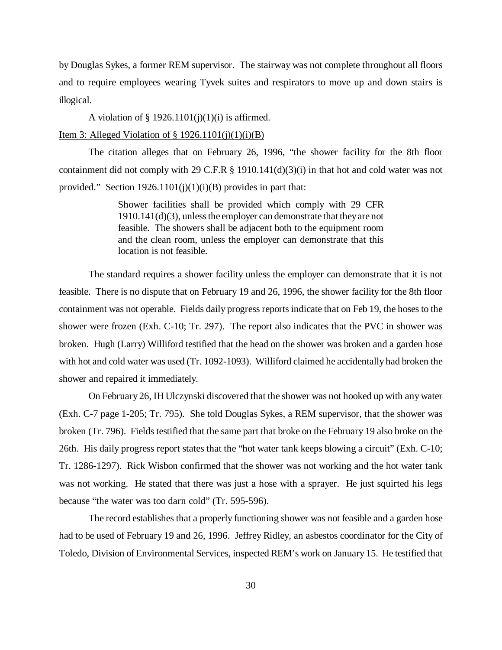by Douglas Sykes, a former REM supervisor. The stairway was not complete throughout all floors and to require employees wearing Tyvek suites and respirators to move up and down stairs is illogical.

A violation of  $\S$  1926.1101(j)(1)(i) is affirmed.

### Item 3: Alleged Violation of  $\S$  1926.1101(j)(1)(i)(B)

The citation alleges that on February 26, 1996, "the shower facility for the 8th floor containment did not comply with 29 C.F.R § 1910.141(d)(3)(i) in that hot and cold water was not provided." Section  $1926.1101(i)(1)(i)(B)$  provides in part that:

> Shower facilities shall be provided which comply with 29 CFR 1910.141(d)(3), unless the employer can demonstrate that they are not feasible. The showers shall be adjacent both to the equipment room and the clean room, unless the employer can demonstrate that this location is not feasible.

The standard requires a shower facility unless the employer can demonstrate that it is not feasible. There is no dispute that on February 19 and 26, 1996, the shower facility for the 8th floor containment was not operable. Fields daily progress reports indicate that on Feb 19, the hoses to the shower were frozen (Exh. C-10; Tr. 297). The report also indicates that the PVC in shower was broken. Hugh (Larry) Williford testified that the head on the shower was broken and a garden hose with hot and cold water was used (Tr. 1092-1093). Williford claimed he accidentally had broken the shower and repaired it immediately.

On February 26, IH Ulczynski discovered that the shower was not hooked up with any water (Exh. C-7 page 1-205; Tr. 795). She told Douglas Sykes, a REM supervisor, that the shower was broken (Tr. 796). Fields testified that the same part that broke on the February 19 also broke on the 26th. His daily progress report states that the "hot water tank keeps blowing a circuit" (Exh. C-10; Tr. 1286-1297). Rick Wisbon confirmed that the shower was not working and the hot water tank was not working. He stated that there was just a hose with a sprayer. He just squirted his legs because "the water was too darn cold" (Tr. 595-596).

The record establishes that a properly functioning shower was not feasible and a garden hose had to be used of February 19 and 26, 1996. Jeffrey Ridley, an asbestos coordinator for the City of Toledo, Division of Environmental Services, inspected REM's work on January 15. He testified that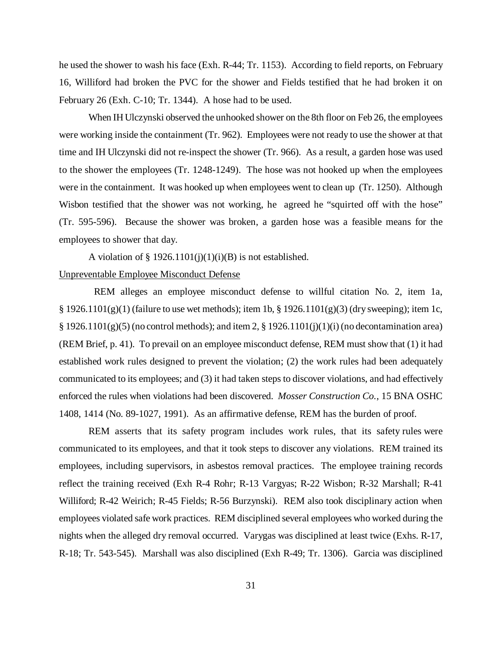he used the shower to wash his face (Exh. R-44; Tr. 1153). According to field reports, on February 16, Williford had broken the PVC for the shower and Fields testified that he had broken it on February 26 (Exh. C-10; Tr. 1344). A hose had to be used.

When IH Ulczynski observed the unhooked shower on the 8th floor on Feb 26, the employees were working inside the containment (Tr. 962). Employees were not ready to use the shower at that time and IH Ulczynski did not re-inspect the shower (Tr. 966). As a result, a garden hose was used to the shower the employees (Tr. 1248-1249). The hose was not hooked up when the employees were in the containment. It was hooked up when employees went to clean up (Tr. 1250). Although Wisbon testified that the shower was not working, he agreed he "squirted off with the hose" (Tr. 595-596). Because the shower was broken, a garden hose was a feasible means for the employees to shower that day.

A violation of  $\S$  1926.1101(j)(1)(j)(B) is not established.

#### Unpreventable Employee Misconduct Defense

 REM alleges an employee misconduct defense to willful citation No. 2, item 1a, § 1926.1101(g)(1) (failure to use wet methods); item 1b, § 1926.1101(g)(3) (dry sweeping); item 1c,  $\S 1926.1101(g)(5)$  (no control methods); and item 2,  $\S 1926.1101(j)(1)(i)$  (no decontamination area) (REM Brief, p. 41). To prevail on an employee misconduct defense, REM must show that (1) it had established work rules designed to prevent the violation; (2) the work rules had been adequately communicated to its employees; and (3) it had taken steps to discover violations, and had effectively enforced the rules when violations had been discovered. *Mosser Construction Co.*, 15 BNA OSHC 1408, 1414 (No. 89-1027, 1991). As an affirmative defense, REM has the burden of proof.

 REM asserts that its safety program includes work rules, that its safety rules were communicated to its employees, and that it took steps to discover any violations. REM trained its employees, including supervisors, in asbestos removal practices. The employee training records reflect the training received (Exh R-4 Rohr; R-13 Vargyas; R-22 Wisbon; R-32 Marshall; R-41 Williford; R-42 Weirich; R-45 Fields; R-56 Burzynski). REM also took disciplinary action when employees violated safe work practices. REM disciplined several employees who worked during the nights when the alleged dry removal occurred. Varygas was disciplined at least twice (Exhs. R-17, R-18; Tr. 543-545). Marshall was also disciplined (Exh R-49; Tr. 1306). Garcia was disciplined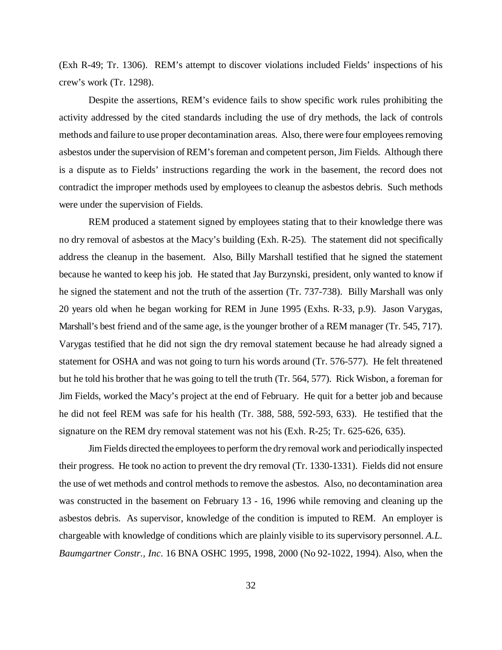(Exh R-49; Tr. 1306). REM's attempt to discover violations included Fields' inspections of his crew's work (Tr. 1298).

Despite the assertions, REM's evidence fails to show specific work rules prohibiting the activity addressed by the cited standards including the use of dry methods, the lack of controls methods and failure to use proper decontamination areas. Also, there were four employees removing asbestos under the supervision of REM's foreman and competent person, Jim Fields. Although there is a dispute as to Fields' instructions regarding the work in the basement, the record does not contradict the improper methods used by employees to cleanup the asbestos debris. Such methods were under the supervision of Fields.

REM produced a statement signed by employees stating that to their knowledge there was no dry removal of asbestos at the Macy's building (Exh. R-25). The statement did not specifically address the cleanup in the basement. Also, Billy Marshall testified that he signed the statement because he wanted to keep his job. He stated that Jay Burzynski, president, only wanted to know if he signed the statement and not the truth of the assertion (Tr. 737-738). Billy Marshall was only 20 years old when he began working for REM in June 1995 (Exhs. R-33, p.9). Jason Varygas, Marshall's best friend and of the same age, is the younger brother of a REM manager (Tr. 545, 717). Varygas testified that he did not sign the dry removal statement because he had already signed a statement for OSHA and was not going to turn his words around (Tr. 576-577). He felt threatened but he told his brother that he was going to tell the truth (Tr. 564, 577). Rick Wisbon, a foreman for Jim Fields, worked the Macy's project at the end of February. He quit for a better job and because he did not feel REM was safe for his health (Tr. 388, 588, 592-593, 633). He testified that the signature on the REM dry removal statement was not his (Exh. R-25; Tr. 625-626, 635).

Jim Fields directed the employees to perform the dry removal work and periodically inspected their progress. He took no action to prevent the dry removal (Tr. 1330-1331). Fields did not ensure the use of wet methods and control methods to remove the asbestos. Also, no decontamination area was constructed in the basement on February 13 - 16, 1996 while removing and cleaning up the asbestos debris. As supervisor, knowledge of the condition is imputed to REM. An employer is chargeable with knowledge of conditions which are plainly visible to its supervisory personnel. *A.L. Baumgartner Constr., Inc*. 16 BNA OSHC 1995, 1998, 2000 (No 92-1022, 1994). Also, when the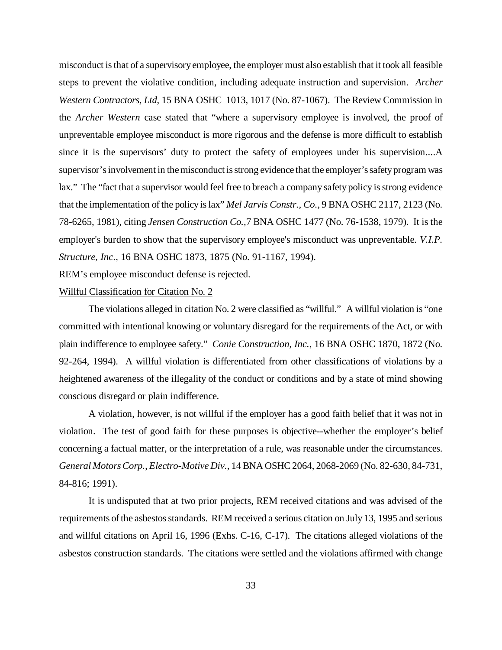misconduct is that of a supervisory employee, the employer must also establish that it took all feasible steps to prevent the violative condition, including adequate instruction and supervision. *Archer Western Contractors, Ltd*, 15 BNA OSHC 1013, 1017 (No. 87-1067). The Review Commission in the *Archer Western* case stated that "where a supervisory employee is involved, the proof of unpreventable employee misconduct is more rigorous and the defense is more difficult to establish since it is the supervisors' duty to protect the safety of employees under his supervision....A supervisor's involvement in the misconduct is strong evidence that the employer's safety program was lax." The "fact that a supervisor would feel free to breach a company safety policy is strong evidence that the implementation of the policy is lax" *Mel Jarvis Constr., Co.,* 9 BNA OSHC 2117, 2123 (No. 78-6265, 1981), citing *Jensen Construction Co.,*7 BNA OSHC 1477 (No. 76-1538, 1979). It is the employer's burden to show that the supervisory employee's misconduct was unpreventable. *V.I.P. Structure, Inc*., 16 BNA OSHC 1873, 1875 (No. 91-1167, 1994).

REM's employee misconduct defense is rejected.

#### Willful Classification for Citation No. 2

The violations alleged in citation No. 2 were classified as "willful." A willful violation is "one committed with intentional knowing or voluntary disregard for the requirements of the Act, or with plain indifference to employee safety." *Conie Construction, Inc.*, 16 BNA OSHC 1870, 1872 (No. 92-264, 1994). A willful violation is differentiated from other classifications of violations by a heightened awareness of the illegality of the conduct or conditions and by a state of mind showing conscious disregard or plain indifference.

A violation, however, is not willful if the employer has a good faith belief that it was not in violation. The test of good faith for these purposes is objective--whether the employer's belief concerning a factual matter, or the interpretation of a rule, was reasonable under the circumstances. *General Motors Corp.*, *Electro-Motive Div.*, 14 BNA OSHC 2064, 2068-2069 (No. 82-630, 84-731, 84-816; 1991).

It is undisputed that at two prior projects, REM received citations and was advised of the requirements of the asbestos standards. REM received a serious citation on July 13, 1995 and serious and willful citations on April 16, 1996 (Exhs. C-16, C-17). The citations alleged violations of the asbestos construction standards. The citations were settled and the violations affirmed with change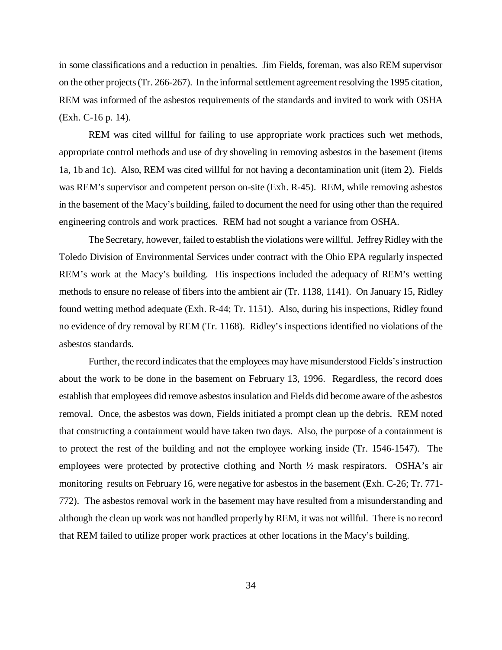in some classifications and a reduction in penalties. Jim Fields, foreman, was also REM supervisor on the other projects (Tr. 266-267). In the informal settlement agreement resolving the 1995 citation, REM was informed of the asbestos requirements of the standards and invited to work with OSHA (Exh. C-16 p. 14).

REM was cited willful for failing to use appropriate work practices such wet methods, appropriate control methods and use of dry shoveling in removing asbestos in the basement (items 1a, 1b and 1c). Also, REM was cited willful for not having a decontamination unit (item 2). Fields was REM's supervisor and competent person on-site (Exh. R-45). REM, while removing asbestos in the basement of the Macy's building, failed to document the need for using other than the required engineering controls and work practices. REM had not sought a variance from OSHA.

The Secretary, however, failed to establish the violations were willful. Jeffrey Ridley with the Toledo Division of Environmental Services under contract with the Ohio EPA regularly inspected REM's work at the Macy's building. His inspections included the adequacy of REM's wetting methods to ensure no release of fibers into the ambient air (Tr. 1138, 1141). On January 15, Ridley found wetting method adequate (Exh. R-44; Tr. 1151). Also, during his inspections, Ridley found no evidence of dry removal by REM (Tr. 1168). Ridley's inspections identified no violations of the asbestos standards.

Further, the record indicates that the employees may have misunderstood Fields's instruction about the work to be done in the basement on February 13, 1996. Regardless, the record does establish that employees did remove asbestos insulation and Fields did become aware of the asbestos removal. Once, the asbestos was down, Fields initiated a prompt clean up the debris. REM noted that constructing a containment would have taken two days. Also, the purpose of a containment is to protect the rest of the building and not the employee working inside (Tr. 1546-1547). The employees were protected by protective clothing and North ½ mask respirators. OSHA's air monitoring results on February 16, were negative for asbestos in the basement (Exh. C-26; Tr. 771- 772). The asbestos removal work in the basement may have resulted from a misunderstanding and although the clean up work was not handled properly by REM, it was not willful. There is no record that REM failed to utilize proper work practices at other locations in the Macy's building.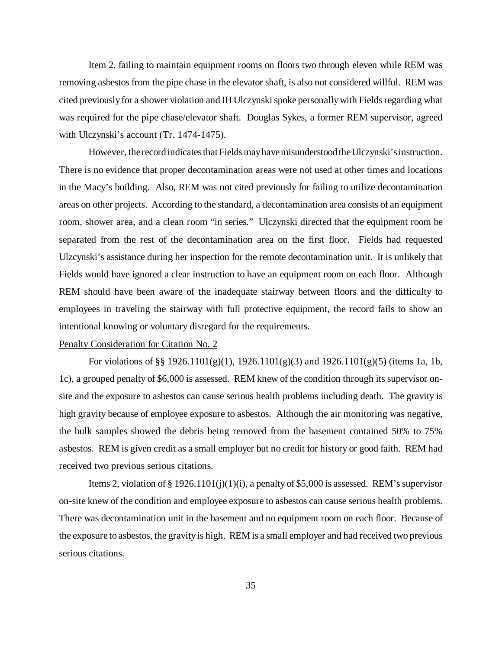Item 2, failing to maintain equipment rooms on floors two through eleven while REM was removing asbestos from the pipe chase in the elevator shaft, is also not considered willful. REM was cited previously for a shower violation and IH Ulczynski spoke personally with Fields regarding what was required for the pipe chase/elevator shaft. Douglas Sykes, a former REM supervisor, agreed with Ulczynski's account (Tr. 1474-1475).

However, the record indicates that Fields may have misunderstood the Ulczynski's instruction. There is no evidence that proper decontamination areas were not used at other times and locations in the Macy's building. Also, REM was not cited previously for failing to utilize decontamination areas on other projects. According to the standard, a decontamination area consists of an equipment room, shower area, and a clean room "in series." Ulczynski directed that the equipment room be separated from the rest of the decontamination area on the first floor. Fields had requested Ulzcynski's assistance during her inspection for the remote decontamination unit. It is unlikely that Fields would have ignored a clear instruction to have an equipment room on each floor. Although REM should have been aware of the inadequate stairway between floors and the difficulty to employees in traveling the stairway with full protective equipment, the record fails to show an intentional knowing or voluntary disregard for the requirements.

#### Penalty Consideration for Citation No. 2

For violations of §§ 1926.1101(g)(1), 1926.1101(g)(3) and 1926.1101(g)(5) (items 1a, 1b, 1c), a grouped penalty of \$6,000 is assessed. REM knew of the condition through its supervisor onsite and the exposure to asbestos can cause serious health problems including death. The gravity is high gravity because of employee exposure to asbestos. Although the air monitoring was negative, the bulk samples showed the debris being removed from the basement contained 50% to 75% asbestos. REM is given credit as a small employer but no credit for history or good faith. REM had received two previous serious citations.

Items 2, violation of  $\S 1926.1101(j)(1)(i)$ , a penalty of \$5,000 is assessed. REM's supervisor on-site knew of the condition and employee exposure to asbestos can cause serious health problems. There was decontamination unit in the basement and no equipment room on each floor. Because of the exposure to asbestos, the gravity is high. REM is a small employer and had received two previous serious citations.